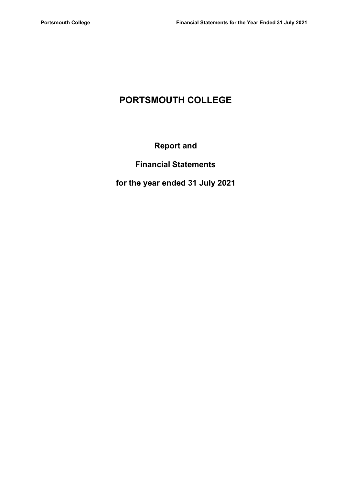# PORTSMOUTH COLLEGE

# Report and

# Financial Statements

# for the year ended 31 July 2021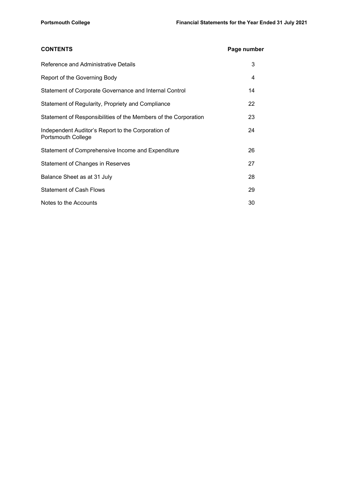| <b>CONTENTS</b>                                                          | Page number |  |
|--------------------------------------------------------------------------|-------------|--|
| Reference and Administrative Details                                     | 3           |  |
| Report of the Governing Body                                             | 4           |  |
| Statement of Corporate Governance and Internal Control                   | 14          |  |
| Statement of Regularity, Propriety and Compliance                        | 22          |  |
| Statement of Responsibilities of the Members of the Corporation          | 23          |  |
| Independent Auditor's Report to the Corporation of<br>Portsmouth College | 24          |  |
| Statement of Comprehensive Income and Expenditure                        | 26          |  |
| <b>Statement of Changes in Reserves</b>                                  | 27          |  |
| Balance Sheet as at 31 July                                              | 28          |  |
| <b>Statement of Cash Flows</b>                                           | 29          |  |
| Notes to the Accounts                                                    | 30          |  |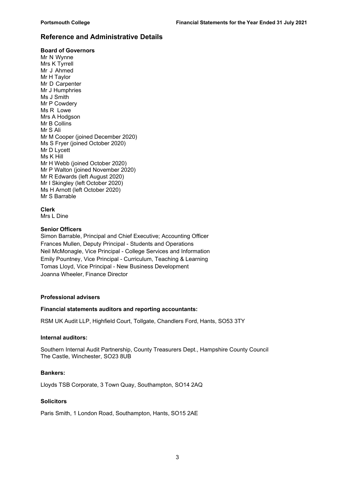### Reference and Administrative Details

#### Board of Governors

Mr N Wynne Mrs K Tyrrell Mr J Ahmed Mr H Taylor Mr D Carpenter Mr J Humphries Ms J Smith Mr P Cowdery Ms R Lowe Mrs A Hodgson Mr B Collins Mr S Ali Mr M Cooper (joined December 2020) Ms S Fryer (joined October 2020) Mr D Lycett Ms K Hill Mr H Webb (joined October 2020) Mr P Walton (joined November 2020) Mr R Edwards (left August 2020) Mr I Skingley (left October 2020) Ms H Arnott (left October 2020) Mr S Barrable

Clerk

Mrs L Dine

#### Senior Officers

Simon Barrable, Principal and Chief Executive; Accounting Officer Frances Mullen, Deputy Principal - Students and Operations Neil McMonagle, Vice Principal - College Services and Information Emily Pountney, Vice Principal - Curriculum, Teaching & Learning Tomas Lloyd, Vice Principal - New Business Development Joanna Wheeler, Finance Director

#### Professional advisers

#### Financial statements auditors and reporting accountants:

RSM UK Audit LLP, Highfield Court, Tollgate, Chandlers Ford, Hants, SO53 3TY

#### Internal auditors:

Southern Internal Audit Partnership, County Treasurers Dept., Hampshire County Council The Castle, Winchester, SO23 8UB

#### Bankers:

Lloyds TSB Corporate, 3 Town Quay, Southampton, SO14 2AQ

#### Solicitors

Paris Smith, 1 London Road, Southampton, Hants, SO15 2AE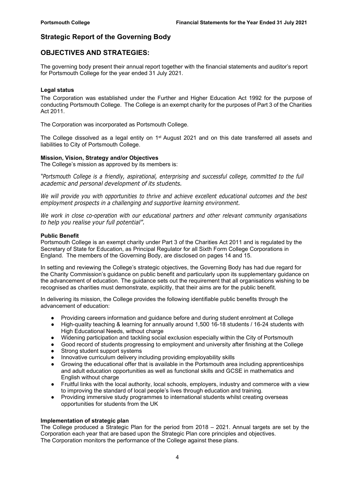## Strategic Report of the Governing Body

## OBJECTIVES AND STRATEGIES:

The governing body present their annual report together with the financial statements and auditor's report for Portsmouth College for the year ended 31 July 2021.

#### Legal status

The Corporation was established under the Further and Higher Education Act 1992 for the purpose of conducting Portsmouth College. The College is an exempt charity for the purposes of Part 3 of the Charities Act 2011.

The Corporation was incorporated as Portsmouth College.

The College dissolved as a legal entity on 1<sup>st</sup> August 2021 and on this date transferred all assets and liabilities to City of Portsmouth College.

#### Mission, Vision, Strategy and/or Objectives

The College's mission as approved by its members is:

"Portsmouth College is a friendly, aspirational, enterprising and successful college, committed to the full academic and personal development of its students.

We will provide you with opportunities to thrive and achieve excellent educational outcomes and the best employment prospects in a challenging and supportive learning environment.

We work in close co-operation with our educational partners and other relevant community organisations to help you realise your full potential".

#### Public Benefit

Portsmouth College is an exempt charity under Part 3 of the Charities Act 2011 and is regulated by the Secretary of State for Education, as Principal Regulator for all Sixth Form College Corporations in England. The members of the Governing Body, are disclosed on pages 14 and 15.

In setting and reviewing the College's strategic objectives, the Governing Body has had due regard for the Charity Commission's guidance on public benefit and particularly upon its supplementary guidance on the advancement of education. The guidance sets out the requirement that all organisations wishing to be recognised as charities must demonstrate, explicitly, that their aims are for the public benefit.

In delivering its mission, the College provides the following identifiable public benefits through the advancement of education:

- Providing careers information and guidance before and during student enrolment at College
- High-quality teaching & learning for annually around 1,500 16-18 students / 16-24 students with High Educational Needs, without charge
- Widening participation and tackling social exclusion especially within the City of Portsmouth
- Good record of students progressing to employment and university after finishing at the College
- Strong student support systems
- Innovative curriculum delivery including providing employability skills
- Growing the educational offer that is available in the Portsmouth area including apprenticeships and adult education opportunities as well as functional skills and GCSE in mathematics and English without charge
- Fruitful links with the local authority, local schools, employers, industry and commerce with a view to improving the standard of local people's lives through education and training.
- Providing immersive study programmes to international students whilst creating overseas opportunities for students from the UK

#### Implementation of strategic plan

The College produced a Strategic Plan for the period from 2018 – 2021. Annual targets are set by the Corporation each year that are based upon the Strategic Plan core principles and objectives. The Corporation monitors the performance of the College against these plans.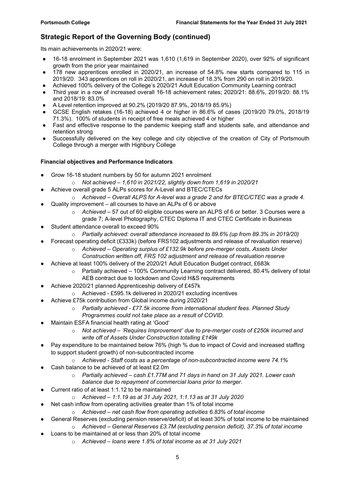## Strategic Report of the Governing Body (continued)

Its main achievements in 2020/21 were:

- 16-18 enrolment in September 2021 was 1,610 (1,619 in September 2020), over 92% of significant growth from the prior year maintained
- 178 new apprentices enrolled in 2020/21, an increase of 54.8% new starts compared to 115 in 2019/20. 343 apprentices on roll in 2020/21, an increase of 18.3% from 290 on roll in 2019/20.
- Achieved 100% delivery of the College's 2020/21 Adult Education Community Learning contract
- Third year in a row of increased overall 16-18 achievement rates; 2020/21: 88.6%, 2019/20: 88.1% and 2018/19: 83.0%
- $\bullet$  A Level retention improved at 90.2% (2019/20 87.9%, 2018/19 85.9%)
- GCSE English retakes (16-18) achieved 4 or higher in 86.6% of cases (2019/20 79.0%, 2018/19 71.3%). 100% of students in receipt of free meals achieved 4 or higher
- Fast and effective response to the pandemic keeping staff and students safe, and attendance and retention strong
- Successfully delivered on the key college and city objective of the creation of City of Portsmouth College through a merger with Highbury College

#### Financial objectives and Performance Indicators

- Grow 16-18 student numbers by 50 for autumn 2021 enrolment
	- $\circ$  Not achieved 1,610 in 2021/22, slightly down from 1,619 in 2020/21
	- Achieve overall grade 5 ALPs scores for A-Level and BTEC/CTECs
		- $\circ$  Achieved Overall ALPS for A-level was a grade 2 and for BTEC/CTEC was a grade 4.
- Quality improvement all courses to have an ALPs of 6 or above
	- $\circ$  Achieved 57 out of 60 eligible courses were an ALPS of 6 or better. 3 Courses were a grade 7; A-level Photography, CTEC Diploma IT and CTEC Certificate in Business
- Student attendance overall to exceed 90%
	- $\circ$  Partially achieved: overall attendance increased to 89.6% (up from 89.3% in 2019/20)
- Forecast operating deficit (£333k) (before FRS102 adjustments and release of revaluation reserve)
	- $\circ$  Achieved Operating surplus of £132.9k before pre-merger costs, Assets Under Construction written off, FRS 102 adjustment and release of revaluation reserve
- Achieve at least 100% delivery of the 2020/21 Adult Education Budget contract, £683k
	- $\circ$  Partially achieved 100% Community Learning contract delivered, 80.4% delivery of total AEB contract due to lockdown and Covid H&S requirements
- Achieve 2020/21 planned Apprenticeship delivery of £457k
	- o Achieved £595.1k delivered in 2020/21 excluding incentives
	- Achieve £75k contribution from Global income during 2020/21
		- $\circ$  Partially achieved £77.5k income from international student fees. Planned Study Programmes could not take place as a result of COVID.
- Maintain ESFA financial health rating at 'Good'
	- o Not achieved 'Requires Improvement' due to pre-merger costs of £250k incurred and write off of Assets Under Construction totalling £149k
- Pay expenditure to be maintained below 76% (high % due to impact of Covid and increased staffing to support student growth) of non-subcontracted income
	- $\circ$  Achieved Staff costs as a percentage of non-subcontracted income were 74.1%
- Cash balance to be achieved of at least £2.0m
	- $\circ$  Partially achieved cash £1.77M and 71 days in hand on 31 July 2021. Lower cash balance due to repayment of commercial loans prior to merger.
- Current ratio of at least 1:1.12 to be maintained
	- $\circ$  Achieved 1:1.19 as at 31 July 2021, 1:1.13 as at 31 July 2020
- Net cash inflow from operating activities greater than 1% of total income
	- $\circ$  Achieved net cash flow from operating activities 6.83% of total income
- General Reserves (excluding pension reserve/deficit) of at least 30% of total income to be maintained
	- $\circ$  Achieved General Reserves £3.7M (excluding pension deficit), 37.3% of total income
	- Loans to be maintained at or less than 20% of total income
		- o Achieved loans were 1.8% of total income as at 31 July 2021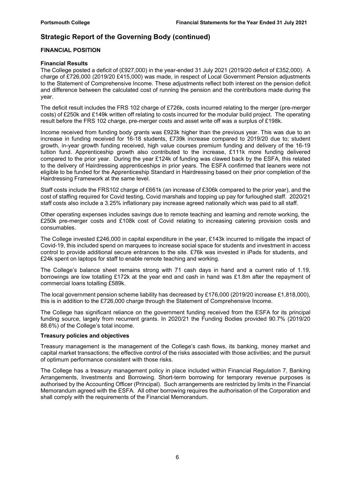## Strategic Report of the Governing Body (continued)

#### FINANCIAL POSITION

#### Financial Results

The College posted a deficit of (£927,000) in the year-ended 31 July 2021 (2019/20 deficit of £352,000). A charge of £726,000 (2019/20 £415,000) was made, in respect of Local Government Pension adjustments to the Statement of Comprehensive Income. These adjustments reflect both interest on the pension deficit and difference between the calculated cost of running the pension and the contributions made during the year.

The deficit result includes the FRS 102 charge of £726k, costs incurred relating to the merger (pre-merger costs) of £250k and £149k written off relating to costs incurred for the modular build project. The operating result before the FRS 102 charge, pre-merger costs and asset write off was a surplus of £198k.

Income received from funding body grants was £923k higher than the previous year. This was due to an increase in funding received for 16-18 students, £739k increase compared to 2019/20 due to; student growth, in-year growth funding received, high value courses premium funding and delivery of the 16-19 tuition fund. Apprenticeship growth also contributed to the increase, £111k more funding delivered compared to the prior year. During the year £124k of funding was clawed back by the ESFA, this related to the delivery of Hairdressing apprenticeships in prior years. The ESFA confirmed that leaners were not eligible to be funded for the Apprenticeship Standard in Hairdressing based on their prior completion of the Hairdressing Framework at the same level.

Staff costs include the FRS102 charge of £661k (an increase of £306k compared to the prior year), and the cost of staffing required for Covid testing, Covid marshals and topping up pay for furloughed staff. 2020/21 staff costs also include a 3.25% inflationary pay increase agreed nationally which was paid to all staff.

Other operating expenses includes savings due to remote teaching and learning and remote working, the £250k pre-merger costs and £108k cost of Covid relating to increasing catering provision costs and consumables.

The College invested £246,000 in capital expenditure in the year, £143k incurred to mitigate the impact of Covid-19, this included spend on marquees to increase social space for students and investment in access control to provide additional secure entrances to the site. £76k was invested in iPads for students, and £24k spent on laptops for staff to enable remote teaching and working.

The College's balance sheet remains strong with 71 cash days in hand and a current ratio of 1.19, borrowings are low totalling £172k at the year end and cash in hand was £1.8m after the repayment of commercial loans totalling £589k.

The local government pension scheme liability has decreased by £176,000 (2019/20 increase £1,818,000). this is in addition to the £726,000 charge through the Statement of Comprehensive Income.

The College has significant reliance on the government funding received from the ESFA for its principal funding source, largely from recurrent grants. In 2020/21 the Funding Bodies provided 90.7% (2019/20 88.6%) of the College's total income.

#### Treasury policies and objectives

Treasury management is the management of the College's cash flows, its banking, money market and capital market transactions; the effective control of the risks associated with those activities; and the pursuit of optimum performance consistent with those risks.

The College has a treasury management policy in place included within Financial Regulation 7, Banking Arrangements, Investments and Borrowing. Short-term borrowing for temporary revenue purposes is authorised by the Accounting Officer (Principal). Such arrangements are restricted by limits in the Financial Memorandum agreed with the ESFA. All other borrowing requires the authorisation of the Corporation and shall comply with the requirements of the Financial Memorandum.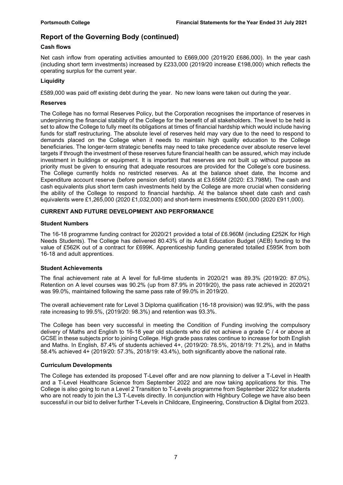### Cash flows

Net cash inflow from operating activities amounted to £669,000 (2019/20 £686,000). In the year cash (including short term investments) increased by £233,000 (2019/20 increase £198,000) which reflects the operating surplus for the current year.

### **Liquidity**

£589,000 was paid off existing debt during the year. No new loans were taken out during the year.

#### Reserves

The College has no formal Reserves Policy, but the Corporation recognises the importance of reserves in underpinning the financial stability of the College for the benefit of all stakeholders. The level to be held is set to allow the College to fully meet its obligations at times of financial hardship which would include having funds for staff restructuring. The absolute level of reserves held may vary due to the need to respond to demands placed on the College when it needs to maintain high quality education to the College beneficiaries. The longer-term strategic benefits may need to take precedence over absolute reserve level targets if through the investment of these reserves future financial health can be assured, which may include investment in buildings or equipment. It is important that reserves are not built up without purpose as priority must be given to ensuring that adequate resources are provided for the College's core business. The College currently holds no restricted reserves. As at the balance sheet date, the Income and Expenditure account reserve (before pension deficit) stands at £3.656M (2020: £3.798M). The cash and cash equivalents plus short term cash investments held by the College are more crucial when considering the ability of the College to respond to financial hardship. At the balance sheet date cash and cash equivalents were £1,265,000 (2020 £1,032,000) and short-term investments £500,000 (2020 £911,000).

### CURRENT AND FUTURE DEVELOPMENT AND PERFORMANCE

#### Student Numbers

The 16-18 programme funding contract for 2020/21 provided a total of £6.960M (including £252K for High Needs Students). The College has delivered 80.43% of its Adult Education Budget (AEB) funding to the value of £562K out of a contract for £699K. Apprenticeship funding generated totalled £595K from both 16-18 and adult apprentices.

#### Student Achievements

The final achievement rate at A level for full-time students in 2020/21 was 89.3% (2019/20: 87.0%). Retention on A level courses was 90.2% (up from 87.9% in 2019/20), the pass rate achieved in 2020/21 was 99.0%, maintained following the same pass rate of 99.0% in 2019/20.

The overall achievement rate for Level 3 Diploma qualification (16-18 provision) was 92.9%, with the pass rate increasing to 99.5%, (2019/20: 98.3%) and retention was 93.3%.

The College has been very successful in meeting the Condition of Funding involving the compulsory delivery of Maths and English to 16-18 year old students who did not achieve a grade C / 4 or above at GCSE in these subjects prior to joining College. High grade pass rates continue to increase for both English and Maths. In English, 87.4% of students achieved 4+, (2019/20: 78.5%, 2018/19: 71.2%), and in Maths 58.4% achieved 4+ (2019/20: 57.3%, 2018/19: 43.4%), both significantly above the national rate.

#### Curriculum Developments

The College has extended its proposed T-Level offer and are now planning to deliver a T-Level in Health and a T-Level Healthcare Science from September 2022 and are now taking applications for this. The College is also going to run a Level 2 Transition to T-Levels programme from September 2022 for students who are not ready to join the L3 T-Levels directly. In conjunction with Highbury College we have also been successful in our bid to deliver further T-Levels in Childcare, Engineering, Construction & Digital from 2023.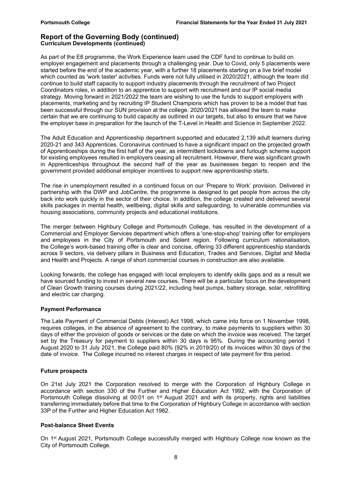#### Report of the Governing Body (continued) Curriculum Developments (continued)

As part of the E6 programme, the Work Experience team used the CDF fund to continue to build on employer engagement and placements through a challenging year. Due to Covid, only 5 placements were started before the end of the academic year, with a further 18 placements starting on a live brief model which counted as 'work taster' activities. Funds were not fully utilised in 2020/2021, although the team did continue to build staff capacity to support industry placements through the recruitment of two Project Coordinators roles, in addition to an apprentice to support with recruitment and our IP social media strategy. Moving forward in 2021/2022 the team are wishing to use the funds to support employers with placements, marketing and by recruiting IP Student Champions which has proven to be a model that has been successful through our SUN provision at the college. 2020/2021 has allowed the team to make certain that we are continuing to build capacity as outlined in our targets, but also to ensure that we have the employer base in preparation for the launch of the T-Level in Health and Science in September 2022.

The Adult Education and Apprenticeship department supported and educated 2,139 adult learners during 2020-21 and 343 Apprentices. Coronavirus continued to have a significant impact on the projected growth of Apprenticeships during the first half of the year, as intermittent lockdowns and furlough scheme support for existing employees resulted in employers ceasing all recruitment. However, there was significant growth in Apprenticeships throughout the second half of the year as businesses began to reopen and the government provided additional employer incentives to support new apprenticeship starts.

The rise in unemployment resulted in a continued focus on our 'Prepare to Work' provision. Delivered in partnership with the DWP and JobCentre, the programme is designed to get people from across the city back into work quickly in the sector of their choice. In addition, the college created and delivered several skills packages in mental health, wellbeing, digital skills and safeguarding, to vulnerable communities via housing associations, community projects and educational institutions.

The merger between Highbury College and Portsmouth College, has resulted in the development of a Commercial and Employer Services department which offers a 'one-stop-shop' training offer for employers and employees in the City of Portsmouth and Solent region. Following curriculum rationalisation, the College's work-based training offer is clear and concise, offering 33 different apprenticeship standards across 9 sectors, via delivery pillars in Business and Education, Trades and Services, Digital and Media and Health and Projects. A range of short commercial courses in construction are also available.

Looking forwards, the college has engaged with local employers to identify skills gaps and as a result we have sourced funding to invest in several new courses. There will be a particular focus on the development of Clean Growth training courses during 2021/22, including heat pumps, battery storage, solar, retrofitting and electric car charging.

#### Payment Performance

The Late Payment of Commercial Debts (Interest) Act 1998, which came into force on 1 November 1998, requires colleges, in the absence of agreement to the contrary, to make payments to suppliers within 30 days of either the provision of goods or services or the date on which the invoice was received. The target set by the Treasury for payment to suppliers within 30 days is 95%. During the accounting period 1 August 2020 to 31 July 2021, the College paid 80% (92% in 2019/20) of its invoices within 30 days of the date of invoice. The College incurred no interest charges in respect of late payment for this period.

#### Future prospects

On 21st July 2021 the Corporation resolved to merge with the Corporation of Highbury College in accordance with section 330 of the Further and Higher Education Act 1992, with the Corporation of Portsmouth College dissolving at 00:01 on 1<sup>st</sup> August 2021 and with its property, rights and liabilities transferring immediately before that time to the Corporation of Highbury College in accordance with section 33P of the Further and Higher Education Act 1982.

#### Post-balance Sheet Events

On 1st August 2021, Portsmouth College successfully merged with Highbury College now known as the City of Portsmouth College.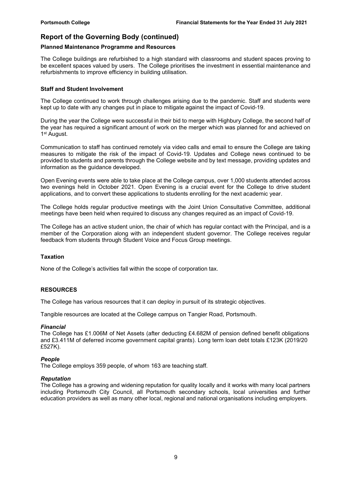#### Planned Maintenance Programme and Resources

The College buildings are refurbished to a high standard with classrooms and student spaces proving to be excellent spaces valued by users. The College prioritises the investment in essential maintenance and refurbishments to improve efficiency in building utilisation.

#### Staff and Student Involvement

The College continued to work through challenges arising due to the pandemic. Staff and students were kept up to date with any changes put in place to mitigate against the impact of Covid-19.

During the year the College were successful in their bid to merge with Highbury College, the second half of the year has required a significant amount of work on the merger which was planned for and achieved on 1 st August.

Communication to staff has continued remotely via video calls and email to ensure the College are taking measures to mitigate the risk of the impact of Covid-19. Updates and College news continued to be provided to students and parents through the College website and by text message, providing updates and information as the guidance developed.

Open Evening events were able to take place at the College campus, over 1,000 students attended across two evenings held in October 2021. Open Evening is a crucial event for the College to drive student applications, and to convert these applications to students enrolling for the next academic year.

The College holds regular productive meetings with the Joint Union Consultative Committee, additional meetings have been held when required to discuss any changes required as an impact of Covid-19.

The College has an active student union, the chair of which has regular contact with the Principal, and is a member of the Corporation along with an independent student governor. The College receives regular feedback from students through Student Voice and Focus Group meetings.

#### **Taxation**

None of the College's activities fall within the scope of corporation tax.

#### RESOURCES

The College has various resources that it can deploy in pursuit of its strategic objectives.

Tangible resources are located at the College campus on Tangier Road, Portsmouth.

#### Financial

The College has £1.006M of Net Assets (after deducting £4.682M of pension defined benefit obligations and £3.411M of deferred income government capital grants). Long term loan debt totals £123K (2019/20 £527K).

#### People

The College employs 359 people, of whom 163 are teaching staff.

#### Reputation

The College has a growing and widening reputation for quality locally and it works with many local partners including Portsmouth City Council, all Portsmouth secondary schools, local universities and further education providers as well as many other local, regional and national organisations including employers.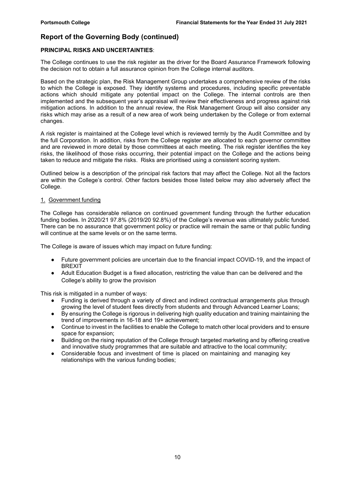#### PRINCIPAL RISKS AND UNCERTAINTIES:

The College continues to use the risk register as the driver for the Board Assurance Framework following the decision not to obtain a full assurance opinion from the College internal auditors.

Based on the strategic plan, the Risk Management Group undertakes a comprehensive review of the risks to which the College is exposed. They identify systems and procedures, including specific preventable actions which should mitigate any potential impact on the College. The internal controls are then implemented and the subsequent year's appraisal will review their effectiveness and progress against risk mitigation actions. In addition to the annual review, the Risk Management Group will also consider any risks which may arise as a result of a new area of work being undertaken by the College or from external changes.

A risk register is maintained at the College level which is reviewed termly by the Audit Committee and by the full Corporation. In addition, risks from the College register are allocated to each governor committee and are reviewed in more detail by those committees at each meeting. The risk register identifies the key risks, the likelihood of those risks occurring, their potential impact on the College and the actions being taken to reduce and mitigate the risks. Risks are prioritised using a consistent scoring system.

Outlined below is a description of the principal risk factors that may affect the College. Not all the factors are within the College's control. Other factors besides those listed below may also adversely affect the College.

#### 1. Government funding

The College has considerable reliance on continued government funding through the further education funding bodies. In 2020/21 97.8% (2019/20 92.8%) of the College's revenue was ultimately public funded. There can be no assurance that government policy or practice will remain the same or that public funding will continue at the same levels or on the same terms.

The College is aware of issues which may impact on future funding:

- Future government policies are uncertain due to the financial impact COVID-19, and the impact of BREXIT
- Adult Education Budget is a fixed allocation, restricting the value than can be delivered and the College's ability to grow the provision

This risk is mitigated in a number of ways:

- Funding is derived through a variety of direct and indirect contractual arrangements plus through growing the level of student fees directly from students and through Advanced Learner Loans;
- By ensuring the College is rigorous in delivering high quality education and training maintaining the trend of improvements in 16-18 and 19+ achievement;
- Continue to invest in the facilities to enable the College to match other local providers and to ensure space for expansion;
- Building on the rising reputation of the College through targeted marketing and by offering creative and innovative study programmes that are suitable and attractive to the local community;
- Considerable focus and investment of time is placed on maintaining and managing key relationships with the various funding bodies;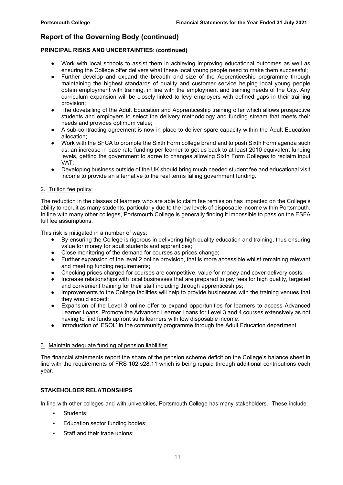#### PRINCIPAL RISKS AND UNCERTAINTIES: (continued)

- Work with local schools to assist them in achieving improving educational outcomes as well as ensuring the College offer delivers what these local young people need to make them successful;
- Further develop and expand the breadth and size of the Apprenticeship programme through maintaining the highest standards of quality and customer service helping local young people obtain employment with training, in line with the employment and training needs of the City. Any curriculum expansion will be closely linked to levy employers with defined gaps in their training provision;
- The dovetailing of the Adult Education and Apprenticeship training offer which allows prospective students and employers to select the delivery methodology and funding stream that meets their needs and provides optimum value;
- A sub-contracting agreement is now in place to deliver spare capacity within the Adult Education allocation;
- Work with the SFCA to promote the Sixth Form college brand and to push Sixth Form agenda such as; an increase in base rate funding per learner to get us back to at least 2010 equivalent funding levels, getting the government to agree to changes allowing Sixth Form Colleges to reclaim input VAT;
- Developing business outside of the UK should bring much needed student fee and educational visit income to provide an alternative to the real terms falling government funding.

#### 2. Tuition fee policy

The reduction in the classes of learners who are able to claim fee remission has impacted on the College's ability to recruit as many students, particularly due to the low levels of disposable income within Portsmouth. In line with many other colleges, Portsmouth College is generally finding it impossible to pass on the ESFA full fee assumptions.

This risk is mitigated in a number of ways:

- By ensuring the College is rigorous in delivering high quality education and training, thus ensuring value for money for adult students and apprentices;
- Close monitoring of the demand for courses as prices change;
- Further expansion of the level 2 online provision, that is more accessible whilst remaining relevant and meeting funding requirements;
- Checking prices charged for courses are competitive, value for money and cover delivery costs;
- Increase relationships with local businesses that are prepared to pay fees for high quality, targeted and convenient training for their staff including through apprenticeships;
- Improvements to the College facilities will help to provide businesses with the training venues that they would expect;
- Expansion of the Level 3 online offer to expand opportunities for learners to access Advanced Learner Loans. Promote the Advanced Learner Loans for Level 3 and 4 courses extensively as not having to find funds upfront suits learners with low disposable income.
- Introduction of 'ESOL' in the community programme through the Adult Education department

#### 3. Maintain adequate funding of pension liabilities

The financial statements report the share of the pension scheme deficit on the College's balance sheet in line with the requirements of FRS 102 s28.11 which is being repaid through additional contributions each year.

#### STAKEHOLDER RELATIONSHIPS

In line with other colleges and with universities, Portsmouth College has many stakeholders. These include:

- Students:
- Education sector funding bodies;
- Staff and their trade unions: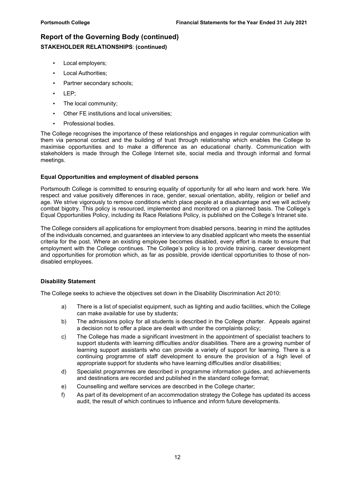## Report of the Governing Body (continued) STAKEHOLDER RELATIONSHIPS: (continued)

- Local employers;
- Local Authorities;
- Partner secondary schools;
- LEP;
- The local community:
- Other FE institutions and local universities;
- Professional bodies.

The College recognises the importance of these relationships and engages in regular communication with them via personal contact and the building of trust through relationship which enables the College to maximise opportunities and to make a difference as an educational charity. Communication with stakeholders is made through the College Internet site, social media and through informal and formal meetings.

#### Equal Opportunities and employment of disabled persons

Portsmouth College is committed to ensuring equality of opportunity for all who learn and work here. We respect and value positively differences in race, gender, sexual orientation, ability, religion or belief and age. We strive vigorously to remove conditions which place people at a disadvantage and we will actively combat bigotry. This policy is resourced, implemented and monitored on a planned basis. The College's Equal Opportunities Policy, including its Race Relations Policy, is published on the College's Intranet site.

The College considers all applications for employment from disabled persons, bearing in mind the aptitudes of the individuals concerned, and guarantees an interview to any disabled applicant who meets the essential criteria for the post. Where an existing employee becomes disabled, every effort is made to ensure that employment with the College continues. The College's policy is to provide training, career development and opportunities for promotion which, as far as possible, provide identical opportunities to those of nondisabled employees.

#### Disability Statement

The College seeks to achieve the objectives set down in the Disability Discrimination Act 2010:

- a) There is a list of specialist equipment, such as lighting and audio facilities, which the College can make available for use by students;
- b) The admissions policy for all students is described in the College charter. Appeals against a decision not to offer a place are dealt with under the complaints policy;
- c) The College has made a significant investment in the appointment of specialist teachers to support students with learning difficulties and/or disabilities. There are a growing number of learning support assistants who can provide a variety of support for learning. There is a continuing programme of staff development to ensure the provision of a high level of appropriate support for students who have learning difficulties and/or disabilities;
- d) Specialist programmes are described in programme information guides, and achievements and destinations are recorded and published in the standard college format;
- e) Counselling and welfare services are described in the College charter;
- f) As part of its development of an accommodation strategy the College has updated its access audit, the result of which continues to influence and inform future developments.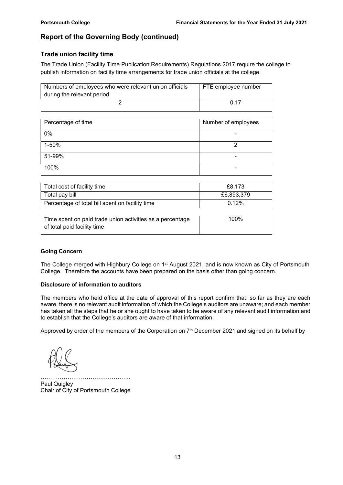## Trade union facility time

The Trade Union (Facility Time Publication Requirements) Regulations 2017 require the college to publish information on facility time arrangements for trade union officials at the college.

| Numbers of employees who were relevant union officials | FTE employee number |
|--------------------------------------------------------|---------------------|
| during the relevant period                             |                     |
|                                                        | በ 17                |

| Percentage of time | Number of employees |
|--------------------|---------------------|
| 0%                 |                     |
| 1-50%              |                     |
| 51-99%             | -                   |
| 100%               | -                   |

| Total cost of facility time                     | £8.173     |
|-------------------------------------------------|------------|
| Total pay bill                                  | £6,893,379 |
| Percentage of total bill spent on facility time | 0.12%      |

| Time spent on paid trade union activities as a percentage | 100% |
|-----------------------------------------------------------|------|
| of total paid facility time                               |      |

#### Going Concern

The College merged with Highbury College on 1<sup>st</sup> August 2021, and is now known as City of Portsmouth College. Therefore the accounts have been prepared on the basis other than going concern.

#### Disclosure of information to auditors

The members who held office at the date of approval of this report confirm that, so far as they are each aware, there is no relevant audit information of which the College's auditors are unaware; and each member has taken all the steps that he or she ought to have taken to be aware of any relevant audit information and to establish that the College's auditors are aware of that information.

Approved by order of the members of the Corporation on  $7<sup>th</sup>$  December 2021 and signed on its behalf by

……………………………………….. Paul Quigley Chair of City of Portsmouth College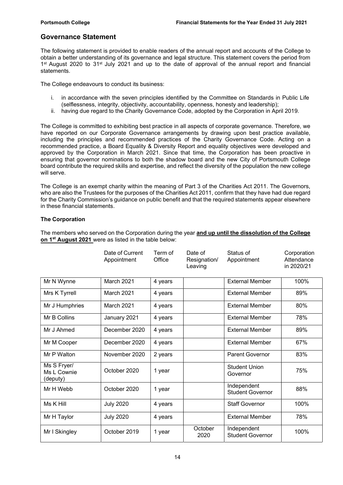## Governance Statement

The following statement is provided to enable readers of the annual report and accounts of the College to obtain a better understanding of its governance and legal structure. This statement covers the period from 1<sup>st</sup> August 2020 to 31<sup>st</sup> July 2021 and up to the date of approval of the annual report and financial statements.

The College endeavours to conduct its business:

- i. in accordance with the seven principles identified by the Committee on Standards in Public Life (selflessness, integrity, objectivity, accountability, openness, honesty and leadership);
- ii. having due regard to the Charity Governance Code, adopted by the Corporation in April 2019.

The College is committed to exhibiting best practice in all aspects of corporate governance. Therefore, we have reported on our Corporate Governance arrangements by drawing upon best practice available, including the principles and recommended practices of the Charity Governance Code. Acting on a recommended practice, a Board Equality & Diversity Report and equality objectives were developed and approved by the Corporation in March 2021. Since that time, the Corporation has been proactive in ensuring that governor nominations to both the shadow board and the new City of Portsmouth College board contribute the required skills and expertise, and reflect the diversity of the population the new college will serve.

The College is an exempt charity within the meaning of Part 3 of the Charities Act 2011. The Governors, who are also the Trustees for the purposes of the Charities Act 2011, confirm that they have had due regard for the Charity Commission's guidance on public benefit and that the required statements appear elsewhere in these financial statements.

#### The Corporation

|                                        | Date of Current<br>Appointment | Term of<br>Office | Date of<br>Resignation/<br>Leaving | Status of<br>Appointment               | Corporation<br>Attendance<br>in 2020/21 |
|----------------------------------------|--------------------------------|-------------------|------------------------------------|----------------------------------------|-----------------------------------------|
| Mr N Wynne                             | March 2021                     | 4 years           |                                    | <b>External Member</b>                 | 100%                                    |
| Mrs K Tyrrell                          | March 2021                     | 4 years           |                                    | <b>External Member</b>                 | 89%                                     |
| Mr J Humphries                         | March 2021                     | 4 years           |                                    | <b>External Member</b>                 | 80%                                     |
| Mr B Collins                           | January 2021                   | 4 years           |                                    | <b>External Member</b>                 | 78%                                     |
| Mr J Ahmed                             | December 2020                  | 4 years           |                                    | <b>External Member</b>                 | 89%                                     |
| Mr M Cooper                            | December 2020                  | 4 years           |                                    | <b>External Member</b>                 | 67%                                     |
| Mr P Walton                            | November 2020                  | 2 years           |                                    | <b>Parent Governor</b>                 | 83%                                     |
| Ms S Fryer/<br>Ms L Cownie<br>(deputy) | October 2020                   | 1 year            |                                    | <b>Student Union</b><br>Governor       | 75%                                     |
| Mr H Webb                              | October 2020                   | 1 year            |                                    | Independent<br><b>Student Governor</b> | 88%                                     |
| Ms K Hill                              | <b>July 2020</b>               | 4 years           |                                    | <b>Staff Governor</b>                  | 100%                                    |
| Mr H Taylor                            | <b>July 2020</b>               | 4 years           |                                    | <b>External Member</b>                 | 78%                                     |
| Mr I Skingley                          | October 2019                   | 1 year            | October<br>2020                    | Independent<br><b>Student Governor</b> | 100%                                    |

The members who served on the Corporation during the year and up until the dissolution of the College on 1<sup>st</sup> August 2021 were as listed in the table below: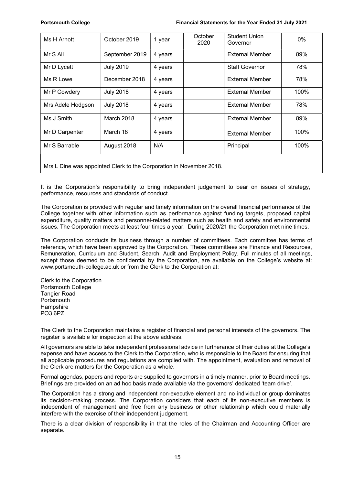| Ms H Arnott                                                         | October 2019     | 1 year  | October<br>2020 | <b>Student Union</b><br>Governor | 0%   |
|---------------------------------------------------------------------|------------------|---------|-----------------|----------------------------------|------|
| Mr S Ali                                                            | September 2019   | 4 years |                 | <b>External Member</b>           | 89%  |
| Mr D Lycett                                                         | <b>July 2019</b> | 4 years |                 | <b>Staff Governor</b>            | 78%  |
| Ms R Lowe                                                           | December 2018    | 4 years |                 | <b>External Member</b>           | 78%  |
| Mr P Cowdery                                                        | <b>July 2018</b> | 4 years |                 | <b>External Member</b>           | 100% |
| Mrs Adele Hodgson                                                   | <b>July 2018</b> | 4 years |                 | <b>External Member</b>           | 78%  |
| Ms J Smith                                                          | March 2018       | 4 years |                 | <b>External Member</b>           | 89%  |
| Mr D Carpenter                                                      | March 18         | 4 years |                 | <b>External Member</b>           | 100% |
| Mr S Barrable                                                       | August 2018      | N/A     |                 | Principal                        | 100% |
| Mrs L Dine was appointed Clerk to the Corporation in November 2018. |                  |         |                 |                                  |      |

It is the Corporation's responsibility to bring independent judgement to bear on issues of strategy, performance, resources and standards of conduct.

The Corporation is provided with regular and timely information on the overall financial performance of the College together with other information such as performance against funding targets, proposed capital expenditure, quality matters and personnel-related matters such as health and safety and environmental issues. The Corporation meets at least four times a year. During 2020/21 the Corporation met nine times.

The Corporation conducts its business through a number of committees. Each committee has terms of reference, which have been approved by the Corporation. These committees are Finance and Resources, Remuneration, Curriculum and Student, Search, Audit and Employment Policy. Full minutes of all meetings, except those deemed to be confidential by the Corporation, are available on the College's website at: www.portsmouth-college.ac.uk or from the Clerk to the Corporation at:

Clerk to the Corporation Portsmouth College Tangier Road **Portsmouth Hampshire** PO3 6PZ

The Clerk to the Corporation maintains a register of financial and personal interests of the governors. The register is available for inspection at the above address.

All governors are able to take independent professional advice in furtherance of their duties at the College's expense and have access to the Clerk to the Corporation, who is responsible to the Board for ensuring that all applicable procedures and regulations are complied with. The appointment, evaluation and removal of the Clerk are matters for the Corporation as a whole.

Formal agendas, papers and reports are supplied to governors in a timely manner, prior to Board meetings. Briefings are provided on an ad hoc basis made available via the governors' dedicated 'team drive'.

The Corporation has a strong and independent non-executive element and no individual or group dominates its decision-making process. The Corporation considers that each of its non-executive members is independent of management and free from any business or other relationship which could materially interfere with the exercise of their independent judgement.

There is a clear division of responsibility in that the roles of the Chairman and Accounting Officer are separate.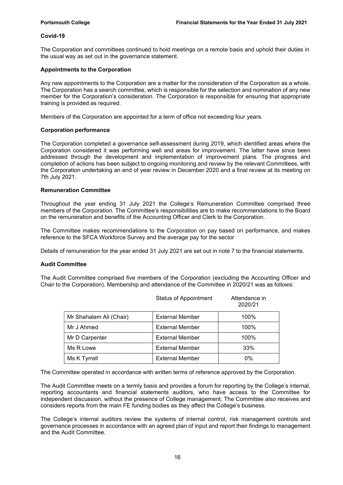#### Covid-19

The Corporation and committees continued to hold meetings on a remote basis and uphold their duties in the usual way as set out in the governance statement.

#### Appointments to the Corporation

Any new appointments to the Corporation are a matter for the consideration of the Corporation as a whole. The Corporation has a search committee, which is responsible for the selection and nomination of any new member for the Corporation's consideration. The Corporation is responsible for ensuring that appropriate training is provided as required.

Members of the Corporation are appointed for a term of office not exceeding four years.

#### Corporation performance

The Corporation completed a governance self-assessment during 2019, which identified areas where the Corporation considered it was performing well and areas for improvement. The latter have since been addressed through the development and implementation of improvement plans. The progress and completion of actions has been subject to ongoing monitoring and review by the relevant Committees, with the Corporation undertaking an end of year review in December 2020 and a final review at its meeting on 7th July 2021.

#### Remuneration Committee

Throughout the year ending 31 July 2021 the College's Remuneration Committee comprised three members of the Corporation. The Committee's responsibilities are to make recommendations to the Board on the remuneration and benefits of the Accounting Officer and Clerk to the Corporation.

The Committee makes recommendations to the Corporation on pay based on performance, and makes reference to the SFCA Workforce Survey and the average pay for the sector

Details of remuneration for the year ended 31 July 2021 are set out in note 7 to the financial statements.

#### Audit Committee

The Audit Committee comprised five members of the Corporation (excluding the Accounting Officer and Chair to the Corporation). Membership and attendance of the Committee in 2020/21 was as follows:

|                         | <b>Status of Appointment</b> | Attendance in<br>2020/21 |
|-------------------------|------------------------------|--------------------------|
| Mr Shahalam Ali (Chair) | <b>External Member</b>       | 100%                     |
| Mr J Ahmed              | <b>External Member</b>       | 100%                     |
| Mr D Carpenter          | <b>External Member</b>       | 100%                     |
| Ms R Lowe               | <b>External Member</b>       | 33%                      |
| Ms K Tyrrell            | <b>External Member</b>       | 0%                       |

The Committee operated in accordance with written terms of reference approved by the Corporation.

The Audit Committee meets on a termly basis and provides a forum for reporting by the College's internal, reporting accountants and financial statements auditors, who have access to the Committee for independent discussion, without the presence of College management. The Committee also receives and considers reports from the main FE funding bodies as they affect the College's business.

The College's internal auditors review the systems of internal control, risk management controls and governance processes in accordance with an agreed plan of input and report their findings to management and the Audit Committee.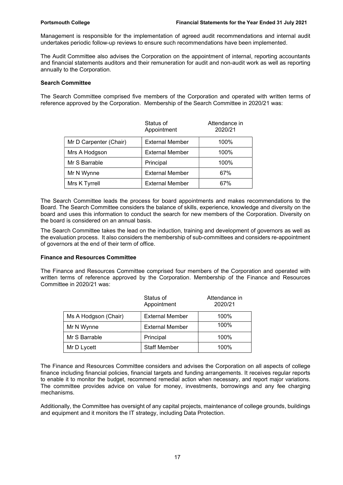Management is responsible for the implementation of agreed audit recommendations and internal audit undertakes periodic follow-up reviews to ensure such recommendations have been implemented.

The Audit Committee also advises the Corporation on the appointment of internal, reporting accountants and financial statements auditors and their remuneration for audit and non-audit work as well as reporting annually to the Corporation.

#### Search Committee

The Search Committee comprised five members of the Corporation and operated with written terms of reference approved by the Corporation. Membership of the Search Committee in 2020/21 was:

|                        | Status of<br>Appointment | Attendance in<br>2020/21 |
|------------------------|--------------------------|--------------------------|
| Mr D Carpenter (Chair) | <b>External Member</b>   | 100%                     |
| Mrs A Hodgson          | <b>External Member</b>   | 100%                     |
| Mr S Barrable          | Principal                | 100%                     |
| Mr N Wynne             | <b>External Member</b>   | 67%                      |
| Mrs K Tyrrell          | <b>External Member</b>   | 67%                      |

The Search Committee leads the process for board appointments and makes recommendations to the Board. The Search Committee considers the balance of skills, experience, knowledge and diversity on the board and uses this information to conduct the search for new members of the Corporation. Diversity on the board is considered on an annual basis.

The Search Committee takes the lead on the induction, training and development of governors as well as the evaluation process. It also considers the membership of sub-committees and considers re-appointment of governors at the end of their term of office.

#### Finance and Resources Committee

The Finance and Resources Committee comprised four members of the Corporation and operated with written terms of reference approved by the Corporation. Membership of the Finance and Resources Committee in 2020/21 was:

|                      | Status of<br>Appointment | Attendance in<br>2020/21 |
|----------------------|--------------------------|--------------------------|
| Ms A Hodgson (Chair) | <b>External Member</b>   | 100%                     |
| Mr N Wynne           | <b>External Member</b>   | 100%                     |
| Mr S Barrable        | Principal                | 100%                     |
| Mr D Lycett          | <b>Staff Member</b>      | 100%                     |

The Finance and Resources Committee considers and advises the Corporation on all aspects of college finance including financial policies, financial targets and funding arrangements. It receives regular reports to enable it to monitor the budget, recommend remedial action when necessary, and report major variations. The committee provides advice on value for money, investments, borrowings and any fee charging mechanisms.

Additionally, the Committee has oversight of any capital projects, maintenance of college grounds, buildings and equipment and it monitors the IT strategy, including Data Protection.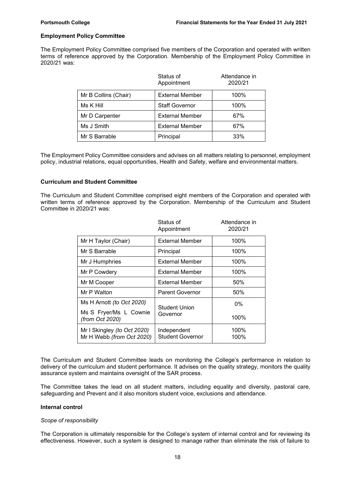#### Employment Policy Committee

The Employment Policy Committee comprised five members of the Corporation and operated with written terms of reference approved by the Corporation. Membership of the Employment Policy Committee in 2020/21 was:

|                      | Status of<br>Appointment | Attendance in<br>2020/21 |
|----------------------|--------------------------|--------------------------|
| Mr B Collins (Chair) | <b>External Member</b>   | 100%                     |
| Ms K Hill            | <b>Staff Governor</b>    | 100%                     |
| Mr D Carpenter       | <b>External Member</b>   | 67%                      |
| Ms J Smith           | <b>External Member</b>   | 67%                      |
| Mr S Barrable        | Principal                | 33%                      |

The Employment Policy Committee considers and advises on all matters relating to personnel, employment policy, industrial relations, equal opportunities, Health and Safety, welfare and environmental matters.

#### Curriculum and Student Committee

The Curriculum and Student Committee comprised eight members of the Corporation and operated with written terms of reference approved by the Corporation. Membership of the Curriculum and Student Committee in 2020/21 was:

|                                                          | Status of<br>Appointment               | Attendance in<br>2020/21 |
|----------------------------------------------------------|----------------------------------------|--------------------------|
| Mr H Taylor (Chair)                                      | <b>External Member</b>                 | 100%                     |
| Mr S Barrable                                            | Principal                              | 100%                     |
| Mr J Humphries                                           | External Member                        | 100%                     |
| Mr P Cowdery                                             | <b>External Member</b>                 | 100%                     |
| Mr M Cooper                                              | <b>External Member</b>                 | 50%                      |
| Mr P Walton                                              | <b>Parent Governor</b>                 | 50%                      |
| Ms H Arnott (to Oct 2020)                                | <b>Student Union</b>                   | $0\%$                    |
| Ms S Fryer/Ms L Cownie<br>(from Oct 2020)                | Governor                               | 100%                     |
| Mr I Skingley (to Oct 2020)<br>Mr H Webb (from Oct 2020) | Independent<br><b>Student Governor</b> | 100%<br>100%             |

The Curriculum and Student Committee leads on monitoring the College's performance in relation to delivery of the curriculum and student performance. It advises on the quality strategy, monitors the quality assurance system and maintains oversight of the SAR process.

The Committee takes the lead on all student matters, including equality and diversity, pastoral care, safeguarding and Prevent and it also monitors student voice, exclusions and attendance.

#### Internal control

#### Scope of responsibility

The Corporation is ultimately responsible for the College's system of internal control and for reviewing its effectiveness. However, such a system is designed to manage rather than eliminate the risk of failure to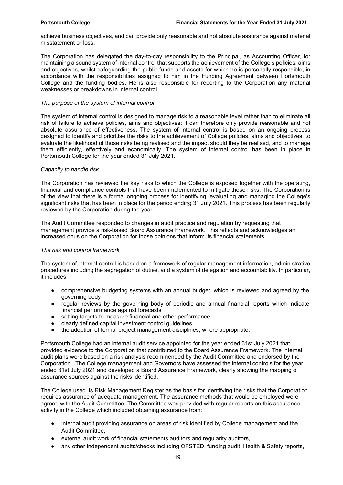achieve business objectives, and can provide only reasonable and not absolute assurance against material misstatement or loss.

The Corporation has delegated the day-to-day responsibility to the Principal, as Accounting Officer, for maintaining a sound system of internal control that supports the achievement of the College's policies, aims and objectives, whilst safeguarding the public funds and assets for which he is personally responsible, in accordance with the responsibilities assigned to him in the Funding Agreement between Portsmouth College and the funding bodies. He is also responsible for reporting to the Corporation any material weaknesses or breakdowns in internal control.

#### The purpose of the system of internal control

The system of internal control is designed to manage risk to a reasonable level rather than to eliminate all risk of failure to achieve policies, aims and objectives; it can therefore only provide reasonable and not absolute assurance of effectiveness. The system of internal control is based on an ongoing process designed to identify and prioritise the risks to the achievement of College policies, aims and objectives, to evaluate the likelihood of those risks being realised and the impact should they be realised, and to manage them efficiently, effectively and economically. The system of internal control has been in place in Portsmouth College for the year ended 31 July 2021.

#### Capacity to handle risk

The Corporation has reviewed the key risks to which the College is exposed together with the operating, financial and compliance controls that have been implemented to mitigate those risks. The Corporation is of the view that there is a formal ongoing process for identifying, evaluating and managing the College's significant risks that has been in place for the period ending 31 July 2021. This process has been regularly reviewed by the Corporation during the year.

The Audit Committee responded to changes in audit practice and regulation by requesting that management provide a risk-based Board Assurance Framework. This reflects and acknowledges an increased onus on the Corporation for those opinions that inform its financial statements.

#### The risk and control framework

The system of internal control is based on a framework of regular management information, administrative procedures including the segregation of duties, and a system of delegation and accountability. In particular, it includes:

- comprehensive budgeting systems with an annual budget, which is reviewed and agreed by the governing body
- regular reviews by the governing body of periodic and annual financial reports which indicate financial performance against forecasts
- setting targets to measure financial and other performance
- clearly defined capital investment control quidelines
- the adoption of formal project management disciplines, where appropriate.

Portsmouth College had an internal audit service appointed for the year ended 31st July 2021 that provided evidence to the Corporation that contributed to the Board Assurance Framework. The internal audit plans were based on a risk analysis recommended by the Audit Committee and endorsed by the Corporation. The College management and Governors have assessed the internal controls for the year ended 31st July 2021 and developed a Board Assurance Framework, clearly showing the mapping of assurance sources against the risks identified.

The College used its Risk Management Register as the basis for identifying the risks that the Corporation requires assurance of adequate management. The assurance methods that would be employed were agreed with the Audit Committee. The Committee was provided with regular reports on this assurance activity in the College which included obtaining assurance from:

- internal audit providing assurance on areas of risk identified by College management and the Audit Committee,
- external audit work of financial statements auditors and regularity auditors,
- any other independent audits/checks including OFSTED, funding audit, Health & Safety reports,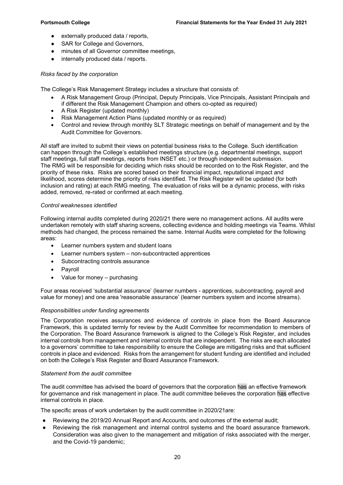- externally produced data / reports,
- SAR for College and Governors.
- minutes of all Governor committee meetings,
- internally produced data / reports.

#### Risks faced by the corporation

The College's Risk Management Strategy includes a structure that consists of:

- A Risk Management Group (Principal, Deputy Principals, Vice Principals, Assistant Principals and if different the Risk Management Champion and others co-opted as required)
- A Risk Register (updated monthly)
- Risk Management Action Plans (updated monthly or as required)
- Control and review through monthly SLT Strategic meetings on behalf of management and by the Audit Committee for Governors.

All staff are invited to submit their views on potential business risks to the College. Such identification can happen through the College's established meetings structure (e.g. departmental meetings, support staff meetings, full staff meetings, reports from INSET etc.) or through independent submission. The RMG will be responsible for deciding which risks should be recorded on to the Risk Register, and the priority of these risks. Risks are scored based on their financial impact, reputational impact and likelihood, scores determine the priority of risks identified. The Risk Register will be updated (for both inclusion and rating) at each RMG meeting. The evaluation of risks will be a dynamic process, with risks added, removed, re-rated or confirmed at each meeting.

#### Control weaknesses identified

Following internal audits completed during 2020/21 there were no management actions. All audits were undertaken remotely with staff sharing screens, collecting evidence and holding meetings via Teams. Whilst methods had changed, the process remained the same. Internal Audits were completed for the following areas:

- Learner numbers system and student loans
- Learner numbers system non-subcontracted apprentices
- Subcontracting controls assurance
- Pavroll
- Value for money purchasing

Four areas received 'substantial assurance' (learner numbers - apprentices, subcontracting, payroll and value for money) and one area 'reasonable assurance' (learner numbers system and income streams).

#### Responsibilities under funding agreements

The Corporation receives assurances and evidence of controls in place from the Board Assurance Framework, this is updated termly for review by the Audit Committee for recommendation to members of the Corporation. The Board Assurance framework is aligned to the College's Risk Register, and includes internal controls from management and internal controls that are independent. The risks are each allocated to a governors' committee to take responsibility to ensure the College are mitigating risks and that sufficient controls in place and evidenced. Risks from the arrangement for student funding are identified and included on both the College's Risk Register and Board Assurance Framework.

#### Statement from the audit committee

The audit committee has advised the board of governors that the corporation has an effective framework for governance and risk management in place. The audit committee believes the corporation has effective internal controls in place.

The specific areas of work undertaken by the audit committee in 2020/21are:

- Reviewing the 2019/20 Annual Report and Accounts, and outcomes of the external audit:
- Reviewing the risk management and internal control systems and the board assurance framework. Consideration was also given to the management and mitigation of risks associated with the merger, and the Covid-19 pandemic;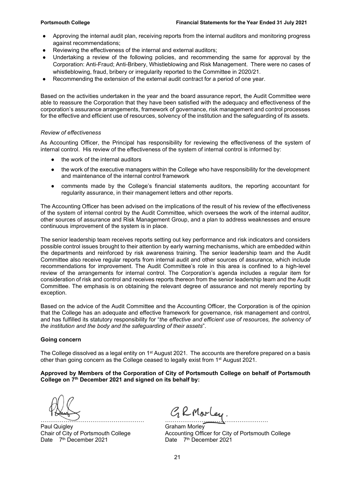- Approving the internal audit plan, receiving reports from the internal auditors and monitoring progress against recommendations;
- Reviewing the effectiveness of the internal and external auditors;
- Undertaking a review of the following policies, and recommending the same for approval by the Corporation: Anti-Fraud; Anti-Bribery, Whistleblowing and Risk Management. There were no cases of whistleblowing, fraud, bribery or irregularity reported to the Committee in 2020/21.
- Recommending the extension of the external audit contract for a period of one year.

Based on the activities undertaken in the year and the board assurance report, the Audit Committee were able to reassure the Corporation that they have been satisfied with the adequacy and effectiveness of the corporation's assurance arrangements, framework of governance, risk management and control processes for the effective and efficient use of resources, solvency of the institution and the safeguarding of its assets.

#### Review of effectiveness

As Accounting Officer, the Principal has responsibility for reviewing the effectiveness of the system of internal control. His review of the effectiveness of the system of internal control is informed by:

- the work of the internal auditors
- the work of the executive managers within the College who have responsibility for the development and maintenance of the internal control framework
- comments made by the College's financial statements auditors, the reporting accountant for regularity assurance, in their management letters and other reports.

The Accounting Officer has been advised on the implications of the result of his review of the effectiveness of the system of internal control by the Audit Committee, which oversees the work of the internal auditor, other sources of assurance and Risk Management Group, and a plan to address weaknesses and ensure continuous improvement of the system is in place.

The senior leadership team receives reports setting out key performance and risk indicators and considers possible control issues brought to their attention by early warning mechanisms, which are embedded within the departments and reinforced by risk awareness training. The senior leadership team and the Audit Committee also receive regular reports from internal audit and other sources of assurance, which include recommendations for improvement. The Audit Committee's role in this area is confined to a high-level review of the arrangements for internal control. The Corporation's agenda includes a regular item for consideration of risk and control and receives reports thereon from the senior leadership team and the Audit Committee. The emphasis is on obtaining the relevant degree of assurance and not merely reporting by exception.

Based on the advice of the Audit Committee and the Accounting Officer, the Corporation is of the opinion that the College has an adequate and effective framework for governance, risk management and control, and has fulfilled its statutory responsibility for "the effective and efficient use of resources, the solvency of the institution and the body and the safeguarding of their assets".

#### Going concern

The College dissolved as a legal entity on  $1<sup>st</sup>$  August 2021. The accounts are therefore prepared on a basis other than going concern as the College ceased to legally exist from 1st August 2021.

#### Approved by Members of the Corporation of City of Portsmouth College on behalf of Portsmouth College on 7<sup>th</sup> December 2021 and signed on its behalf by:

Paul Quigley **Canamic Contract Contract Contract Contract Contract Contract Contract Contract Contract Contract Contract Contract Contract Contract Contract Contract Contract Contract Contract Contract Contract Contract Co** Date 7<sup>th</sup> December 2021

……………………………………………… ………………………………………………

Chair of City of Portsmouth College  $\overline{A}$  Accounting Officer for City of Portsmouth College<br>Date  $\overline{A}^{\text{th}}$  December 2021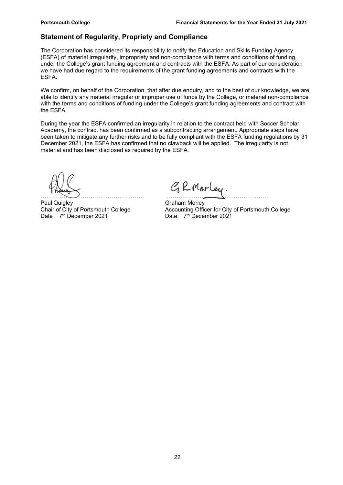## Statement of Regularity, Propriety and Compliance

The Corporation has considered its responsibility to notify the Education and Skills Funding Agency (ESFA) of material irregularity, impropriety and non-compliance with terms and conditions of funding, under the College's grant funding agreement and contracts with the ESFA. As part of our consideration we have had due regard to the requirements of the grant funding agreements and contracts with the ESFA.

We confirm, on behalf of the Corporation, that after due enquiry, and to the best of our knowledge, we are able to identify any material irregular or improper use of funds by the College, or material non-compliance with the terms and conditions of funding under the College's grant funding agreements and contract with the ESFA.

During the year the ESFA confirmed an irregularity in relation to the contract held with Soccer Scholar Academy, the contract has been confirmed as a subcontracting arrangement. Appropriate steps have been taken to mitigate any further risks and to be fully compliant with the ESFA funding regulations by 31 December 2021, the ESFA has confirmed that no clawback will be applied. The irregularity is not material and has been disclosed as required by the ESFA.

Paul Quigley Chair of City of Portsmouth College Chair of City of Portsmouth College Chair of Chair Office

GRMorley. ……………………………………………… ………………………………………………

Chair of City of Portsmouth College  $\overline{A}$  Accounting Officer for City of Portsmouth College<br>Date  $\overline{A}^{\text{th}}$  December 2021 Date 7<sup>th</sup> December 2021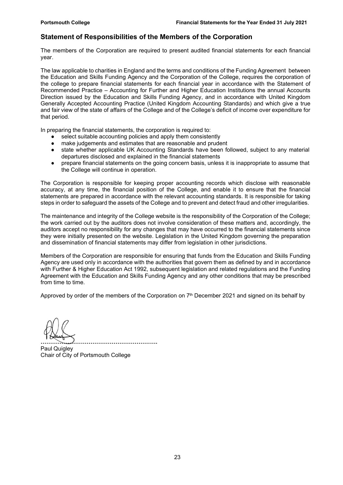## Statement of Responsibilities of the Members of the Corporation

The members of the Corporation are required to present audited financial statements for each financial year.

The law applicable to charities in England and the terms and conditions of the Funding Agreement between the Education and Skills Funding Agency and the Corporation of the College, requires the corporation of the college to prepare financial statements for each financial year in accordance with the Statement of Recommended Practice – Accounting for Further and Higher Education Institutions the annual Accounts Direction issued by the Education and Skills Funding Agency, and in accordance with United Kingdom Generally Accepted Accounting Practice (United Kingdom Accounting Standards) and which give a true and fair view of the state of affairs of the College and of the College's deficit of income over expenditure for that period.

In preparing the financial statements, the corporation is required to:

- select suitable accounting policies and apply them consistently
- make judgements and estimates that are reasonable and prudent
- state whether applicable UK Accounting Standards have been followed, subject to any material departures disclosed and explained in the financial statements
- prepare financial statements on the going concern basis, unless it is inappropriate to assume that the College will continue in operation.

The Corporation is responsible for keeping proper accounting records which disclose with reasonable accuracy, at any time, the financial position of the College, and enable it to ensure that the financial statements are prepared in accordance with the relevant accounting standards. It is responsible for taking steps in order to safeguard the assets of the College and to prevent and detect fraud and other irregularities.

The maintenance and integrity of the College website is the responsibility of the Corporation of the College; the work carried out by the auditors does not involve consideration of these matters and, accordingly, the auditors accept no responsibility for any changes that may have occurred to the financial statements since they were initially presented on the website. Legislation in the United Kingdom governing the preparation and dissemination of financial statements may differ from legislation in other jurisdictions.

Members of the Corporation are responsible for ensuring that funds from the Education and Skills Funding Agency are used only in accordance with the authorities that govern them as defined by and in accordance with Further & Higher Education Act 1992, subsequent legislation and related regulations and the Funding Agreement with the Education and Skills Funding Agency and any other conditions that may be prescribed from time to time.

Approved by order of the members of the Corporation on  $7<sup>th</sup>$  December 2021 and signed on its behalf by

……………………………………………………. Paul Quigley Chair of City of Portsmouth College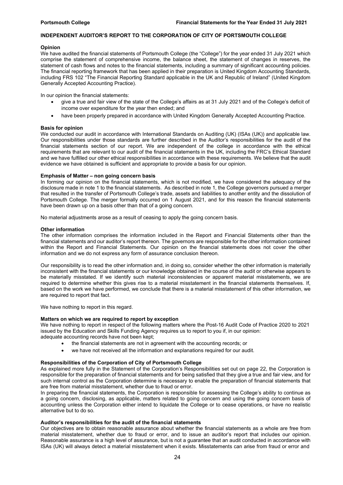#### INDEPENDENT AUDITOR'S REPORT TO THE CORPORATION OF CITY OF PORTSMOUTH COLLEGE

#### **Opinion**

We have audited the financial statements of Portsmouth College (the "College") for the year ended 31 July 2021 which comprise the statement of comprehensive income, the balance sheet, the statement of changes in reserves, the statement of cash flows and notes to the financial statements, including a summary of significant accounting policies. The financial reporting framework that has been applied in their preparation is United Kingdom Accounting Standards, including FRS 102 "The Financial Reporting Standard applicable in the UK and Republic of Ireland" (United Kingdom Generally Accepted Accounting Practice).

In our opinion the financial statements:

- give a true and fair view of the state of the College's affairs as at 31 July 2021 and of the College's deficit of income over expenditure for the year then ended; and
- have been properly prepared in accordance with United Kingdom Generally Accepted Accounting Practice.

#### Basis for opinion

We conducted our audit in accordance with International Standards on Auditing (UK) (ISAs (UK)) and applicable law. Our responsibilities under those standards are further described in the Auditor's responsibilities for the audit of the financial statements section of our report. We are independent of the college in accordance with the ethical requirements that are relevant to our audit of the financial statements in the UK, including the FRC's Ethical Standard and we have fulfilled our other ethical responsibilities in accordance with these requirements. We believe that the audit evidence we have obtained is sufficient and appropriate to provide a basis for our opinion.

#### Emphasis of Matter – non going concern basis

In forming our opinion on the financial statements, which is not modified, we have considered the adequacy of the disclosure made in note 1 to the financial statements. As described in note 1, the College governors pursued a merger that resulted in the transfer of Portsmouth College's trade, assets and liabilities to another entity and the dissolution of Portsmouth College. The merger formally occurred on 1 August 2021, and for this reason the financial statements have been drawn up on a basis other than that of a going concern.

No material adjustments arose as a result of ceasing to apply the going concern basis.

#### Other information

The other information comprises the information included in the Report and Financial Statements other than the financial statements and our auditor's report thereon. The governors are responsible for the other information contained within the Report and Financial Statements. Our opinion on the financial statements does not cover the other information and we do not express any form of assurance conclusion thereon.

Our responsibility is to read the other information and, in doing so, consider whether the other information is materially inconsistent with the financial statements or our knowledge obtained in the course of the audit or otherwise appears to be materially misstated. If we identify such material inconsistencies or apparent material misstatements, we are required to determine whether this gives rise to a material misstatement in the financial statements themselves. If, based on the work we have performed, we conclude that there is a material misstatement of this other information, we are required to report that fact.

We have nothing to report in this regard.

#### Matters on which we are required to report by exception

We have nothing to report in respect of the following matters where the Post-16 Audit Code of Practice 2020 to 2021 issued by the Education and Skills Funding Agency requires us to report to you if, in our opinion:

adequate accounting records have not been kept;

- the financial statements are not in agreement with the accounting records; or
- we have not received all the information and explanations required for our audit.

#### Responsibilities of the Corporation of City of Portsmouth College

As explained more fully in the Statement of the Corporation's Responsibilities set out on page 22, the Corporation is responsible for the preparation of financial statements and for being satisfied that they give a true and fair view, and for such internal control as the Corporation determine is necessary to enable the preparation of financial statements that are free from material misstatement, whether due to fraud or error.

In preparing the financial statements, the Corporation is responsible for assessing the College's ability to continue as a going concern, disclosing, as applicable, matters related to going concern and using the going concern basis of accounting unless the Corporation either intend to liquidate the College or to cease operations, or have no realistic alternative but to do so.

#### Auditor's responsibilities for the audit of the financial statements

Our objectives are to obtain reasonable assurance about whether the financial statements as a whole are free from material misstatement, whether due to fraud or error, and to issue an auditor's report that includes our opinion. Reasonable assurance is a high level of assurance, but is not a guarantee that an audit conducted in accordance with ISAs (UK) will always detect a material misstatement when it exists. Misstatements can arise from fraud or error and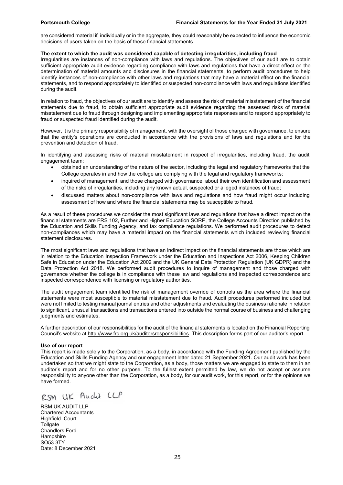are considered material if, individually or in the aggregate, they could reasonably be expected to influence the economic decisions of users taken on the basis of these financial statements.

#### The extent to which the audit was considered capable of detecting irregularities, including fraud

Irregularities are instances of non-compliance with laws and regulations. The objectives of our audit are to obtain sufficient appropriate audit evidence regarding compliance with laws and regulations that have a direct effect on the determination of material amounts and disclosures in the financial statements, to perform audit procedures to help identify instances of non-compliance with other laws and regulations that may have a material effect on the financial statements, and to respond appropriately to identified or suspected non-compliance with laws and regulations identified during the audit.

In relation to fraud, the objectives of our audit are to identify and assess the risk of material misstatement of the financial statements due to fraud, to obtain sufficient appropriate audit evidence regarding the assessed risks of material misstatement due to fraud through designing and implementing appropriate responses and to respond appropriately to fraud or suspected fraud identified during the audit.

However, it is the primary responsibility of management, with the oversight of those charged with governance, to ensure that the entity's operations are conducted in accordance with the provisions of laws and regulations and for the prevention and detection of fraud.

In identifying and assessing risks of material misstatement in respect of irregularities, including fraud, the audit engagement team:

- obtained an understanding of the nature of the sector, including the legal and regulatory frameworks that the College operates in and how the college are complying with the legal and regulatory frameworks;
- inquired of management, and those charged with governance, about their own identification and assessment of the risks of irregularities, including any known actual, suspected or alleged instances of fraud;
- discussed matters about non-compliance with laws and regulations and how fraud might occur including assessment of how and where the financial statements may be susceptible to fraud.

As a result of these procedures we consider the most significant laws and regulations that have a direct impact on the financial statements are FRS 102, Further and Higher Education SORP, the College Accounts Direction published by the Education and Skills Funding Agency, and tax compliance regulations. We performed audit procedures to detect non-compliances which may have a material impact on the financial statements which included reviewing financial statement disclosures.

The most significant laws and regulations that have an indirect impact on the financial statements are those which are in relation to the Education Inspection Framework under the Education and Inspections Act 2006, Keeping Children Safe in Education under the Education Act 2002 and the UK General Data Protection Regulation (UK GDPR) and the Data Protection Act 2018. We performed audit procedures to inquire of management and those charged with governance whether the college is in compliance with these law and regulations and inspected correspondence and inspected correspondence with licensing or regulatory authorities.

The audit engagement team identified the risk of management override of controls as the area where the financial statements were most susceptible to material misstatement due to fraud. Audit procedures performed included but were not limited to testing manual journal entries and other adjustments and evaluating the business rationale in relation to significant, unusual transactions and transactions entered into outside the normal course of business and challenging judgments and estimates.

A further description of our responsibilities for the audit of the financial statements is located on the Financial Reporting Council's website at http://www.frc.org.uk/auditorsresponsibilities. This description forms part of our auditor's report.

#### Use of our report

This report is made solely to the Corporation, as a body, in accordance with the Funding Agreement published by the Education and Skills Funding Agency and our engagement letter dated 21 September 2021. Our audit work has been undertaken so that we might state to the Corporation, as a body, those matters we are engaged to state to them in an auditor's report and for no other purpose. To the fullest extent permitted by law, we do not accept or assume responsibility to anyone other than the Corporation, as a body, for our audit work, for this report, or for the opinions we have formed.

RSM UK Audit LLP

RSM UK AUDIT LLP Chartered Accountants Highfield Court **Tollgate** Chandlers Ford **Hampshire** SO53 3TY Date: 8 December 2021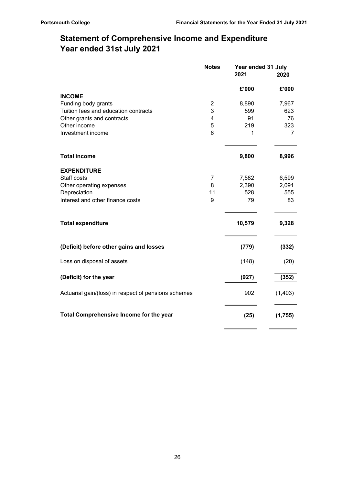$=$ 

 $\equiv$ 

# Statement of Comprehensive Income and Expenditure Year ended 31st July 2021

|                                                      | <b>Notes</b>            | Year ended 31 July<br>2021 | 2020     |  |
|------------------------------------------------------|-------------------------|----------------------------|----------|--|
|                                                      |                         | £'000                      | £'000    |  |
| <b>INCOME</b>                                        |                         |                            |          |  |
| Funding body grants                                  | $\overline{\mathbf{c}}$ | 8,890                      | 7,967    |  |
| Tuition fees and education contracts                 | 3                       | 599                        | 623      |  |
| Other grants and contracts                           | 4                       | 91                         | 76       |  |
| Other income                                         | 5                       | 219                        | 323      |  |
| Investment income                                    | $6\phantom{a}$          | 1                          | 7        |  |
| <b>Total income</b>                                  |                         | 9,800                      | 8,996    |  |
| <b>EXPENDITURE</b>                                   |                         |                            |          |  |
| Staff costs                                          | 7                       | 7,582                      | 6,599    |  |
| Other operating expenses                             | 8                       | 2,390                      | 2,091    |  |
| Depreciation                                         | 11                      | 528                        | 555      |  |
| Interest and other finance costs                     | 9                       | 79                         | 83       |  |
| <b>Total expenditure</b>                             |                         | 10,579                     | 9,328    |  |
| (Deficit) before other gains and losses              |                         | (779)                      | (332)    |  |
| Loss on disposal of assets                           |                         | (148)                      | (20)     |  |
| (Deficit) for the year                               |                         | (927)                      | (352)    |  |
| Actuarial gain/(loss) in respect of pensions schemes |                         | 902                        | (1, 403) |  |
| Total Comprehensive Income for the year              |                         | (25)                       | (1,755)  |  |
|                                                      |                         |                            |          |  |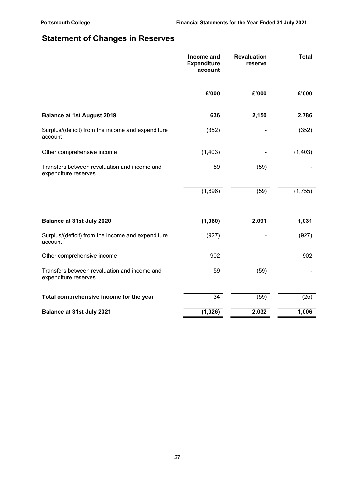# Statement of Changes in Reserves

|                                                                      | Income and<br><b>Expenditure</b><br>account | <b>Revaluation</b><br>reserve | <b>Total</b> |  |
|----------------------------------------------------------------------|---------------------------------------------|-------------------------------|--------------|--|
|                                                                      | £'000                                       | £'000                         | £'000        |  |
| <b>Balance at 1st August 2019</b>                                    | 636                                         | 2,150                         | 2,786        |  |
| Surplus/(deficit) from the income and expenditure<br>account         | (352)                                       |                               | (352)        |  |
| Other comprehensive income                                           | (1,403)                                     |                               | (1, 403)     |  |
| Transfers between revaluation and income and<br>expenditure reserves | 59                                          | (59)                          |              |  |
|                                                                      | (1,696)                                     | (59)                          | (1,755)      |  |
| Balance at 31st July 2020                                            | (1,060)                                     | 2,091                         | 1,031        |  |
| Surplus/(deficit) from the income and expenditure<br>account         | (927)                                       |                               | (927)        |  |
| Other comprehensive income                                           | 902                                         |                               | 902          |  |
| Transfers between revaluation and income and<br>expenditure reserves | 59                                          | (59)                          |              |  |
| Total comprehensive income for the year                              | $\overline{34}$                             | (59)                          | (25)         |  |
| <b>Balance at 31st July 2021</b>                                     | (1,026)                                     | 2,032                         | 1,006        |  |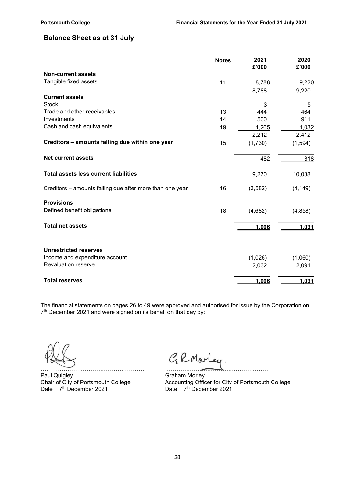## Balance Sheet as at 31 July

|                                                          | <b>Notes</b> | 2021<br>£'000 | 2020<br>£'000 |
|----------------------------------------------------------|--------------|---------------|---------------|
| <b>Non-current assets</b>                                |              |               |               |
| Tangible fixed assets                                    | 11           | 8,788         | 9,220         |
|                                                          |              | 8,788         | 9,220         |
| <b>Current assets</b>                                    |              |               |               |
| <b>Stock</b>                                             |              | 3             | 5             |
| Trade and other receivables                              | 13           | 444           | 464           |
| Investments                                              | 14           | 500           | 911           |
| Cash and cash equivalents                                | 19           | 1,265         | 1,032         |
|                                                          |              | 2,212         | 2,412         |
| Creditors - amounts falling due within one year          | 15           | (1,730)       | (1, 594)      |
| <b>Net current assets</b>                                |              | 482           | 818           |
| <b>Total assets less current liabilities</b>             |              | 9,270         | 10,038        |
| Creditors - amounts falling due after more than one year | 16           | (3,582)       | (4, 149)      |
| <b>Provisions</b>                                        |              |               |               |
| Defined benefit obligations                              | 18           | (4,682)       | (4, 858)      |
| <b>Total net assets</b>                                  |              | 1,006         | 1,031         |
| <b>Unrestricted reserves</b>                             |              |               |               |
| Income and expenditure account                           |              | (1,026)       | (1,060)       |
| <b>Revaluation reserve</b>                               |              | 2,032         | 2,091         |
| <b>Total reserves</b>                                    |              | 1,006         | 1,031         |

The financial statements on pages 26 to 49 were approved and authorised for issue by the Corporation on 7 th December 2021 and were signed on its behalf on that day by:

……………………………………………… ……………………………………………… Paul Quigley Chair of City of Portsmouth College Chair of City of Portsmouth College Chair of City Chair College

GRMarley.

Chair of City of Portsmouth College Accounting Officer for City of Portsmouth College Date 7<sup>th</sup> December 2021 **Date 7<sup>th</sup> December 2021**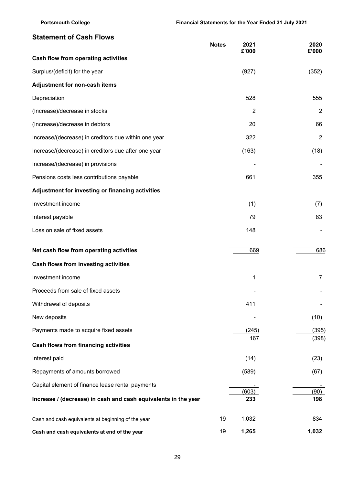## Statement of Cash Flows

|                                                                | <b>Notes</b> | 2021<br>£'000  | 2020<br>£'000  |
|----------------------------------------------------------------|--------------|----------------|----------------|
| Cash flow from operating activities                            |              |                |                |
| Surplus/(deficit) for the year                                 |              | (927)          | (352)          |
| Adjustment for non-cash items                                  |              |                |                |
| Depreciation                                                   |              | 528            | 555            |
| (Increase)/decrease in stocks                                  |              | $\overline{2}$ | $\overline{2}$ |
| (Increase)/decrease in debtors                                 |              | 20             | 66             |
| Increase/(decrease) in creditors due within one year           |              | 322            | $\overline{2}$ |
| Increase/(decrease) in creditors due after one year            |              | (163)          | (18)           |
| Increase/(decrease) in provisions                              |              |                |                |
| Pensions costs less contributions payable                      |              | 661            | 355            |
| Adjustment for investing or financing activities               |              |                |                |
| Investment income                                              |              | (1)            | (7)            |
| Interest payable                                               |              | 79             | 83             |
| Loss on sale of fixed assets                                   |              | 148            |                |
| Net cash flow from operating activities                        |              | 669            | 686            |
| Cash flows from investing activities                           |              |                |                |
| Investment income                                              |              | $\mathbf 1$    | 7              |
| Proceeds from sale of fixed assets                             |              |                |                |
| Withdrawal of deposits                                         |              | 411            |                |
| New deposits                                                   |              |                | (10)           |
| Payments made to acquire fixed assets                          |              | (245)          | (395)          |
| <b>Cash flows from financing activities</b>                    |              | 167            | (398)          |
| Interest paid                                                  |              | (14)           | (23)           |
| Repayments of amounts borrowed                                 |              | (589)          | (67)           |
| Capital element of finance lease rental payments               |              |                |                |
| Increase / (decrease) in cash and cash equivalents in the year |              | (603)<br>233   | (90)<br>198    |
| Cash and cash equivalents at beginning of the year             | 19           | 1,032          | 834            |
| Cash and cash equivalents at end of the year                   | 19           | 1,265          | 1,032          |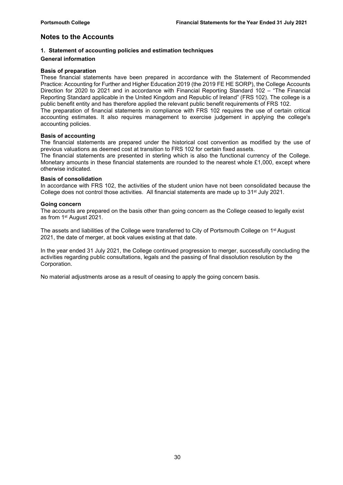## Notes to the Accounts

#### 1. Statement of accounting policies and estimation techniques

#### General information

#### Basis of preparation

These financial statements have been prepared in accordance with the Statement of Recommended Practice: Accounting for Further and Higher Education 2019 (the 2019 FE HE SORP), the College Accounts Direction for 2020 to 2021 and in accordance with Financial Reporting Standard 102 – "The Financial Reporting Standard applicable in the United Kingdom and Republic of Ireland" (FRS 102). The college is a public benefit entity and has therefore applied the relevant public benefit requirements of FRS 102. The preparation of financial statements in compliance with FRS 102 requires the use of certain critical accounting estimates. It also requires management to exercise judgement in applying the college's accounting policies.

#### Basis of accounting

The financial statements are prepared under the historical cost convention as modified by the use of previous valuations as deemed cost at transition to FRS 102 for certain fixed assets.

The financial statements are presented in sterling which is also the functional currency of the College. Monetary amounts in these financial statements are rounded to the nearest whole £1,000, except where otherwise indicated.

#### Basis of consolidation

In accordance with FRS 102, the activities of the student union have not been consolidated because the College does not control those activities. All financial statements are made up to 31<sup>st</sup> July 2021.

#### Going concern

The accounts are prepared on the basis other than going concern as the College ceased to legally exist as from 1st August 2021.

The assets and liabilities of the College were transferred to City of Portsmouth College on 1st August 2021, the date of merger, at book values existing at that date.

In the year ended 31 July 2021, the College continued progression to merger, successfully concluding the activities regarding public consultations, legals and the passing of final dissolution resolution by the Corporation.

No material adjustments arose as a result of ceasing to apply the going concern basis.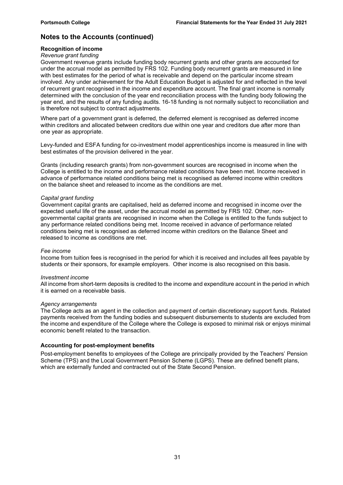#### Recognition of income

#### Revenue grant funding

Government revenue grants include funding body recurrent grants and other grants are accounted for under the accrual model as permitted by FRS 102. Funding body recurrent grants are measured in line with best estimates for the period of what is receivable and depend on the particular income stream involved. Any under achievement for the Adult Education Budget is adjusted for and reflected in the level of recurrent grant recognised in the income and expenditure account. The final grant income is normally determined with the conclusion of the year end reconciliation process with the funding body following the year end, and the results of any funding audits. 16-18 funding is not normally subject to reconciliation and is therefore not subject to contract adjustments.

Where part of a government grant is deferred, the deferred element is recognised as deferred income within creditors and allocated between creditors due within one year and creditors due after more than one year as appropriate.

Levy-funded and ESFA funding for co-investment model apprenticeships income is measured in line with best estimates of the provision delivered in the year.

Grants (including research grants) from non-government sources are recognised in income when the College is entitled to the income and performance related conditions have been met. Income received in advance of performance related conditions being met is recognised as deferred income within creditors on the balance sheet and released to income as the conditions are met.

#### Capital grant funding

Government capital grants are capitalised, held as deferred income and recognised in income over the expected useful life of the asset, under the accrual model as permitted by FRS 102. Other, nongovernmental capital grants are recognised in income when the College is entitled to the funds subject to any performance related conditions being met. Income received in advance of performance related conditions being met is recognised as deferred income within creditors on the Balance Sheet and released to income as conditions are met.

#### Fee income

Income from tuition fees is recognised in the period for which it is received and includes all fees payable by students or their sponsors, for example employers. Other income is also recognised on this basis.

#### Investment income

All income from short-term deposits is credited to the income and expenditure account in the period in which it is earned on a receivable basis.

#### Agency arrangements

The College acts as an agent in the collection and payment of certain discretionary support funds. Related payments received from the funding bodies and subsequent disbursements to students are excluded from the income and expenditure of the College where the College is exposed to minimal risk or enjoys minimal economic benefit related to the transaction.

#### Accounting for post-employment benefits

Post-employment benefits to employees of the College are principally provided by the Teachers' Pension Scheme (TPS) and the Local Government Pension Scheme (LGPS). These are defined benefit plans, which are externally funded and contracted out of the State Second Pension.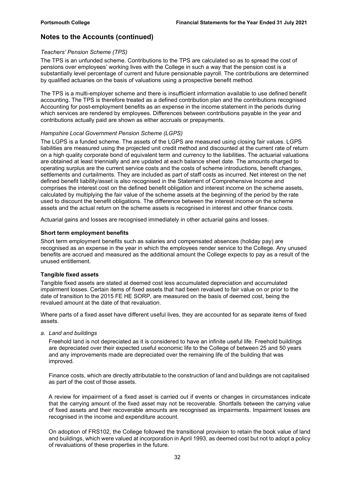#### Teachers' Pension Scheme (TPS)

The TPS is an unfunded scheme. Contributions to the TPS are calculated so as to spread the cost of pensions over employees' working lives with the College in such a way that the pension cost is a substantially level percentage of current and future pensionable payroll. The contributions are determined by qualified actuaries on the basis of valuations using a prospective benefit method.

The TPS is a multi-employer scheme and there is insufficient information available to use defined benefit accounting. The TPS is therefore treated as a defined contribution plan and the contributions recognised Accounting for post-employment benefits as an expense in the income statement in the periods during which services are rendered by employees. Differences between contributions payable in the year and contributions actually paid are shown as either accruals or prepayments.

#### Hampshire Local Government Pension Scheme (LGPS)

The LGPS is a funded scheme. The assets of the LGPS are measured using closing fair values. LGPS liabilities are measured using the projected unit credit method and discounted at the current rate of return on a high quality corporate bond of equivalent term and currency to the liabilities. The actuarial valuations are obtained at least triennially and are updated at each balance sheet date. The amounts charged to operating surplus are the current service costs and the costs of scheme introductions, benefit changes, settlements and curtailments. They are included as part of staff costs as incurred. Net interest on the net defined benefit liability/asset is also recognised in the Statement of Comprehensive Income and comprises the interest cost on the defined benefit obligation and interest income on the scheme assets, calculated by multiplying the fair value of the scheme assets at the beginning of the period by the rate used to discount the benefit obligations. The difference between the interest income on the scheme assets and the actual return on the scheme assets is recognised in interest and other finance costs.

Actuarial gains and losses are recognised immediately in other actuarial gains and losses.

#### Short term employment benefits

Short term employment benefits such as salaries and compensated absences (holiday pay) are recognised as an expense in the year in which the employees render service to the College. Any unused benefits are accrued and measured as the additional amount the College expects to pay as a result of the unused entitlement.

#### Tangible fixed assets

Tangible fixed assets are stated at deemed cost less accumulated depreciation and accumulated impairment losses. Certain items of fixed assets that had been revalued to fair value on or prior to the date of transition to the 2015 FE HE SORP, are measured on the basis of deemed cost, being the revalued amount at the date of that revaluation.

Where parts of a fixed asset have different useful lives, they are accounted for as separate items of fixed assets.

a. Land and buildings

Freehold land is not depreciated as it is considered to have an infinite useful life. Freehold buildings are depreciated over their expected useful economic life to the College of between 25 and 50 years and any improvements made are depreciated over the remaining life of the building that was improved.

Finance costs, which are directly attributable to the construction of land and buildings are not capitalised as part of the cost of those assets.

A review for impairment of a fixed asset is carried out if events or changes in circumstances indicate that the carrying amount of the fixed asset may not be recoverable. Shortfalls between the carrying value of fixed assets and their recoverable amounts are recognised as impairments. Impairment losses are recognised in the income and expenditure account.

On adoption of FRS102, the College followed the transitional provision to retain the book value of land and buildings, which were valued at incorporation in April 1993, as deemed cost but not to adopt a policy of revaluations of these properties in the future.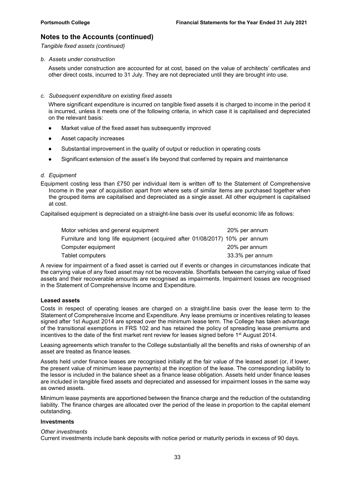Tangible fixed assets (continued)

#### b. Assets under construction

Assets under construction are accounted for at cost, based on the value of architects' certificates and other direct costs, incurred to 31 July. They are not depreciated until they are brought into use.

#### c. Subsequent expenditure on existing fixed assets

Where significant expenditure is incurred on tangible fixed assets it is charged to income in the period it is incurred, unless it meets one of the following criteria, in which case it is capitalised and depreciated on the relevant basis:

- Market value of the fixed asset has subsequently improved
- Asset capacity increases
- Substantial improvement in the quality of output or reduction in operating costs
- Significant extension of the asset's life beyond that conferred by repairs and maintenance

#### d. Equipment

Equipment costing less than £750 per individual item is written off to the Statement of Comprehensive Income in the year of acquisition apart from where sets of similar items are purchased together when the grouped items are capitalised and depreciated as a single asset. All other equipment is capitalised at cost.

Capitalised equipment is depreciated on a straight-line basis over its useful economic life as follows:

| Motor vehicles and general equipment                                        | 20% per annum   |
|-----------------------------------------------------------------------------|-----------------|
| Furniture and long life equipment (acquired after 01/08/2017) 10% per annum |                 |
| Computer equipment                                                          | 20% per annum   |
| Tablet computers                                                            | 33.3% per annum |

A review for impairment of a fixed asset is carried out if events or changes in circumstances indicate that the carrying value of any fixed asset may not be recoverable. Shortfalls between the carrying value of fixed assets and their recoverable amounts are recognised as impairments. Impairment losses are recognised in the Statement of Comprehensive Income and Expenditure.

#### Leased assets

Costs in respect of operating leases are charged on a straight‐line basis over the lease term to the Statement of Comprehensive Income and Expenditure. Any lease premiums or incentives relating to leases signed after 1st August 2014 are spread over the minimum lease term. The College has taken advantage of the transitional exemptions in FRS 102 and has retained the policy of spreading lease premiums and incentives to the date of the first market rent review for leases signed before 1st August 2014.

Leasing agreements which transfer to the College substantially all the benefits and risks of ownership of an asset are treated as finance leases.

Assets held under finance leases are recognised initially at the fair value of the leased asset (or, if lower, the present value of minimum lease payments) at the inception of the lease. The corresponding liability to the lessor is included in the balance sheet as a finance lease obligation. Assets held under finance leases are included in tangible fixed assets and depreciated and assessed for impairment losses in the same way as owned assets.

Minimum lease payments are apportioned between the finance charge and the reduction of the outstanding liability. The finance charges are allocated over the period of the lease in proportion to the capital element outstanding.

#### **Investments**

#### Other investments

Current investments include bank deposits with notice period or maturity periods in excess of 90 days.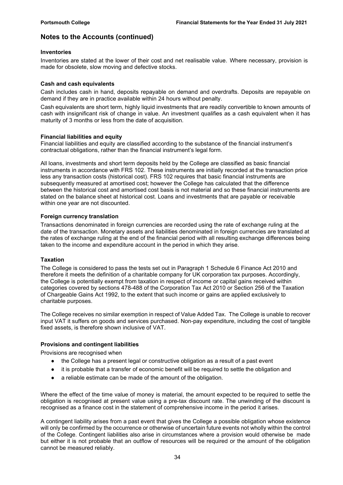#### Inventories

Inventories are stated at the lower of their cost and net realisable value. Where necessary, provision is made for obsolete, slow moving and defective stocks.

#### Cash and cash equivalents

Cash includes cash in hand, deposits repayable on demand and overdrafts. Deposits are repayable on demand if they are in practice available within 24 hours without penalty.

Cash equivalents are short term, highly liquid investments that are readily convertible to known amounts of cash with insignificant risk of change in value. An investment qualifies as a cash equivalent when it has maturity of 3 months or less from the date of acquisition.

#### Financial liabilities and equity

Financial liabilities and equity are classified according to the substance of the financial instrument's contractual obligations, rather than the financial instrument's legal form.

All loans, investments and short term deposits held by the College are classified as basic financial instruments in accordance with FRS 102. These instruments are initially recorded at the transaction price less any transaction costs (historical cost). FRS 102 requires that basic financial instruments are subsequently measured at amortised cost; however the College has calculated that the difference between the historical cost and amortised cost basis is not material and so these financial instruments are stated on the balance sheet at historical cost. Loans and investments that are payable or receivable within one year are not discounted.

#### Foreign currency translation

Transactions denominated in foreign currencies are recorded using the rate of exchange ruling at the date of the transaction. Monetary assets and liabilities denominated in foreign currencies are translated at the rates of exchange ruling at the end of the financial period with all resulting exchange differences being taken to the income and expenditure account in the period in which they arise.

#### Taxation

The College is considered to pass the tests set out in Paragraph 1 Schedule 6 Finance Act 2010 and therefore it meets the definition of a charitable company for UK corporation tax purposes. Accordingly, the College is potentially exempt from taxation in respect of income or capital gains received within categories covered by sections 478-488 of the Corporation Tax Act 2010 or Section 256 of the Taxation of Chargeable Gains Act 1992, to the extent that such income or gains are applied exclusively to charitable purposes.

The College receives no similar exemption in respect of Value Added Tax. The College is unable to recover input VAT it suffers on goods and services purchased. Non-pay expenditure, including the cost of tangible fixed assets, is therefore shown inclusive of VAT.

#### Provisions and contingent liabilities

Provisions are recognised when

- the College has a present legal or constructive obligation as a result of a past event
- it is probable that a transfer of economic benefit will be required to settle the obligation and
- a reliable estimate can be made of the amount of the obligation.

Where the effect of the time value of money is material, the amount expected to be required to settle the obligation is recognised at present value using a pre-tax discount rate. The unwinding of the discount is recognised as a finance cost in the statement of comprehensive income in the period it arises.

A contingent liability arises from a past event that gives the College a possible obligation whose existence will only be confirmed by the occurrence or otherwise of uncertain future events not wholly within the control of the College. Contingent liabilities also arise in circumstances where a provision would otherwise be made but either it is not probable that an outflow of resources will be required or the amount of the obligation cannot be measured reliably.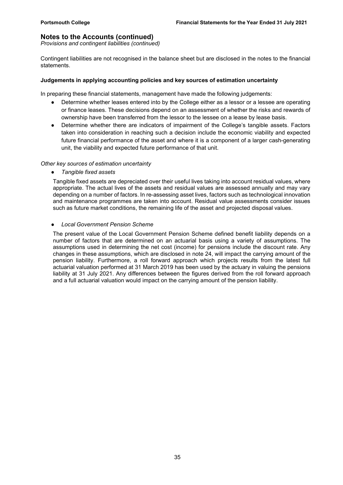Provisions and contingent liabilities (continued)

Contingent liabilities are not recognised in the balance sheet but are disclosed in the notes to the financial statements.

#### Judgements in applying accounting policies and key sources of estimation uncertainty

In preparing these financial statements, management have made the following judgements:

- Determine whether leases entered into by the College either as a lessor or a lessee are operating or finance leases. These decisions depend on an assessment of whether the risks and rewards of ownership have been transferred from the lessor to the lessee on a lease by lease basis.
- Determine whether there are indicators of impairment of the College's tangible assets. Factors taken into consideration in reaching such a decision include the economic viability and expected future financial performance of the asset and where it is a component of a larger cash-generating unit, the viability and expected future performance of that unit.

#### Other key sources of estimation uncertainty

● Tangible fixed assets

Tangible fixed assets are depreciated over their useful lives taking into account residual values, where appropriate. The actual lives of the assets and residual values are assessed annually and may vary depending on a number of factors. In re-assessing asset lives, factors such as technological innovation and maintenance programmes are taken into account. Residual value assessments consider issues such as future market conditions, the remaining life of the asset and projected disposal values.

#### ● Local Government Pension Scheme

The present value of the Local Government Pension Scheme defined benefit liability depends on a number of factors that are determined on an actuarial basis using a variety of assumptions. The assumptions used in determining the net cost (income) for pensions include the discount rate. Any changes in these assumptions, which are disclosed in note 24, will impact the carrying amount of the pension liability. Furthermore, a roll forward approach which projects results from the latest full actuarial valuation performed at 31 March 2019 has been used by the actuary in valuing the pensions liability at 31 July 2021. Any differences between the figures derived from the roll forward approach and a full actuarial valuation would impact on the carrying amount of the pension liability.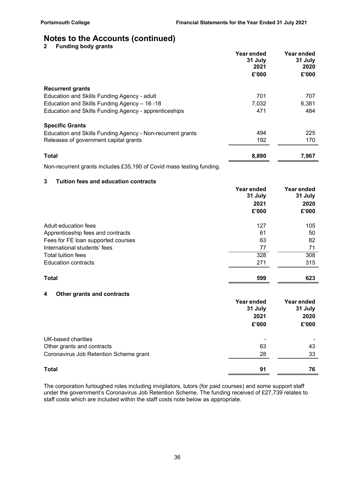2 Funding body grants

|                                                            | Year ended<br>31 July<br>2021<br>£'000 | Year ended<br>31 July<br>2020<br>£'000 |
|------------------------------------------------------------|----------------------------------------|----------------------------------------|
| <b>Recurrent grants</b>                                    |                                        |                                        |
| Education and Skills Funding Agency - adult                | 701                                    | 707                                    |
| Education and Skills Funding Agency - 16 - 18              | 7,032                                  | 6,381                                  |
| Education and Skills Funding Agency - apprenticeships      | 471                                    | 484                                    |
| <b>Specific Grants</b>                                     |                                        |                                        |
| Education and Skills Funding Agency - Non-recurrent grants | 494                                    | 225                                    |
| Releases of government capital grants                      | 192                                    | 170                                    |
| <b>Total</b>                                               | 8,890                                  | 7,967                                  |

Non-recurrent grants includes £35,190 of Covid mass testing funding.

#### 3 Tuition fees and education contracts

|                                    | Year ended<br>31 July | Year ended<br>31 July |
|------------------------------------|-----------------------|-----------------------|
|                                    | 2021<br>£'000         | 2020<br>£'000         |
| Adult education fees               | 127                   | 105                   |
| Apprenticeship fees and contracts  | 61                    | 50                    |
| Fees for FE loan supported courses | 63                    | 82                    |
| International students' fees       | 77                    | 71                    |
| Total tuition fees                 | 328                   | 308                   |
| <b>Education contracts</b>         | 271                   | 315                   |
| <b>Total</b>                       | 599                   | 623                   |

### 4 Other grants and contracts

|                                        | Year ended<br>31 July | Year ended<br>31 July |
|----------------------------------------|-----------------------|-----------------------|
|                                        | 2021                  | 2020                  |
|                                        | £'000                 | £'000                 |
| UK-based charities                     |                       | -                     |
| Other grants and contracts             | 63                    | 43                    |
| Coronavirus Job Retention Scheme grant | 28                    | 33                    |
| <b>Total</b>                           | 91                    | 76                    |

The corporation furloughed roles including invigilators, tutors (for paid courses) and some support staff under the government's Coronavirus Job Retention Scheme. The funding received of £27,739 relates to staff costs which are included within the staff costs note below as appropriate.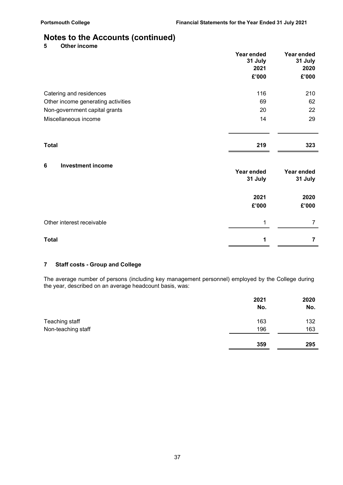5 Other income

|                                    | Year ended<br>31 July<br>2021 | Year ended<br>31 July<br>2020 |
|------------------------------------|-------------------------------|-------------------------------|
|                                    | £'000                         | £'000                         |
| Catering and residences            | 116                           | 210                           |
| Other income generating activities | 69                            | 62                            |
| Non-government capital grants      | 20                            | 22                            |
| Miscellaneous income               | 14                            | 29                            |
| <b>Total</b>                       | 219                           | 323                           |
| 6<br><b>Investment income</b>      | Year ended<br>31 July         | Year ended<br>31 July         |
|                                    | 2021<br>£'000                 | 2020<br>£'000                 |
| Other interest receivable          | 1                             | $\overline{7}$                |
| <b>Total</b>                       | 1                             | 7                             |
|                                    |                               |                               |

## 7 Staff costs - Group and College

The average number of persons (including key management personnel) employed by the College during the year, described on an average headcount basis, was:

|                    | 2021<br>No. | 2020<br>No. |
|--------------------|-------------|-------------|
| Teaching staff     | 163         | 132         |
| Non-teaching staff | 196         | 163         |
|                    | 359         | 295         |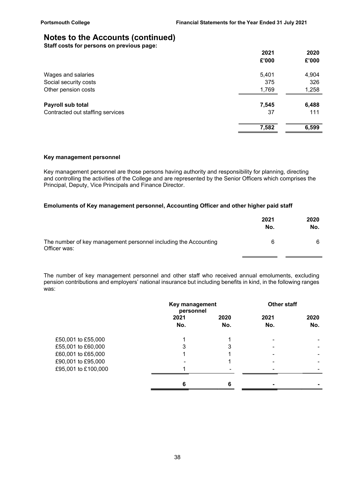Staff costs for persons on previous page:

|                                  | 2021  | 2020  |
|----------------------------------|-------|-------|
|                                  | £'000 | £'000 |
| Wages and salaries               | 5,401 | 4,904 |
| Social security costs            | 375   | 326   |
| Other pension costs              | 1,769 | 1,258 |
| Payroll sub total                | 7,545 | 6,488 |
| Contracted out staffing services | 37    | 111   |
|                                  | 7,582 | 6,599 |
|                                  |       |       |

#### Key management personnel

Key management personnel are those persons having authority and responsibility for planning, directing and controlling the activities of the College and are represented by the Senior Officers which comprises the Principal, Deputy, Vice Principals and Finance Director.

#### Emoluments of Key management personnel, Accounting Officer and other higher paid staff

|                                                                                 | 2021<br>No. | 2020<br>No. |  |
|---------------------------------------------------------------------------------|-------------|-------------|--|
| The number of key management personnel including the Accounting<br>Officer was: |             |             |  |

The number of key management personnel and other staff who received annual emoluments, excluding pension contributions and employers' national insurance but including benefits in kind, in the following ranges was:

|                     | Key management<br>personnel |             | <b>Other staff</b>       |             |
|---------------------|-----------------------------|-------------|--------------------------|-------------|
|                     | 2021<br>No.                 | 2020<br>No. | 2021<br>No.              | 2020<br>No. |
| £50,001 to £55,000  |                             |             | $\blacksquare$           |             |
| £55,001 to £60,000  | 3                           | 3           |                          |             |
| £60,001 to £65,000  |                             |             | $\overline{\phantom{0}}$ |             |
| £90,001 to £95,000  |                             |             | $\overline{\phantom{0}}$ |             |
| £95,001 to £100,000 |                             |             |                          |             |
|                     | 6                           | 6           | -                        |             |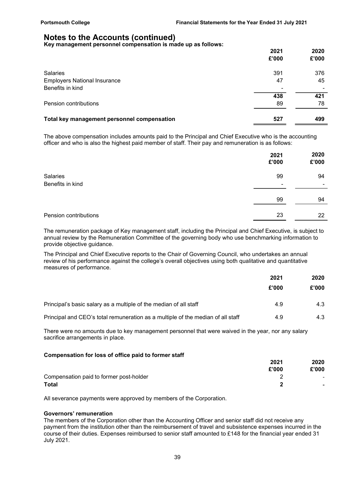Key management personnel compensation is made up as follows:

|                                             | 2021<br>£'000            | 2020<br>£'000 |
|---------------------------------------------|--------------------------|---------------|
|                                             |                          |               |
| <b>Salaries</b>                             | 391                      | 376           |
| <b>Employers National Insurance</b>         | 47                       | 45            |
| Benefits in kind                            | $\overline{\phantom{a}}$ |               |
|                                             | 438                      | 421           |
| Pension contributions                       | 89                       | 78            |
|                                             |                          |               |
| Total key management personnel compensation | 527                      | 499           |
|                                             |                          |               |

The above compensation includes amounts paid to the Principal and Chief Executive who is the accounting officer and who is also the highest paid member of staff. Their pay and remuneration is as follows:

|                              | 2021<br>£'000 | 2020<br>£'000                  |
|------------------------------|---------------|--------------------------------|
| Salaries<br>Benefits in kind | 99<br>-       | 94<br>$\overline{\phantom{0}}$ |
|                              | 99            | 94                             |
| Pension contributions        | 23            | 22                             |

The remuneration package of Key management staff, including the Principal and Chief Executive, is subject to annual review by the Remuneration Committee of the governing body who use benchmarking information to provide objective guidance.

The Principal and Chief Executive reports to the Chair of Governing Council, who undertakes an annual review of his performance against the college's overall objectives using both qualitative and quantitative measures of performance.

|                                                                                 | 2021  | 2020  |
|---------------------------------------------------------------------------------|-------|-------|
|                                                                                 | £'000 | £'000 |
| Principal's basic salary as a multiple of the median of all staff               | 4.9   | 4.3   |
| Principal and CEO's total remuneration as a multiple of the median of all staff | 4.9   | 4.3   |

There were no amounts due to key management personnel that were waived in the year, nor any salary sacrifice arrangements in place.

#### Compensation for loss of office paid to former staff

|                                         | 2021  | 2020                     |
|-----------------------------------------|-------|--------------------------|
|                                         | £'000 | £'000                    |
| Compensation paid to former post-holder |       | $\overline{\phantom{0}}$ |
| <b>Total</b>                            |       | $\overline{\phantom{0}}$ |

All severance payments were approved by members of the Corporation.

#### Governors' remuneration

The members of the Corporation other than the Accounting Officer and senior staff did not receive any payment from the institution other than the reimbursement of travel and subsistence expenses incurred in the course of their duties. Expenses reimbursed to senior staff amounted to £148 for the financial year ended 31 July 2021.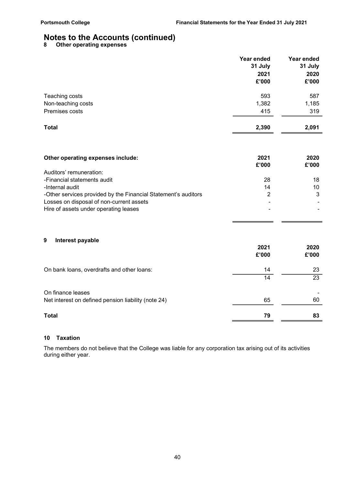8 Other operating expenses

|                                                                                                            | Year ended<br>31 July | Year ended<br>31 July |
|------------------------------------------------------------------------------------------------------------|-----------------------|-----------------------|
|                                                                                                            | 2021                  | 2020                  |
|                                                                                                            | £'000                 | £'000                 |
| Teaching costs                                                                                             | 593                   | 587                   |
| Non-teaching costs                                                                                         | 1,382                 | 1,185                 |
| Premises costs                                                                                             | 415                   | 319                   |
| <b>Total</b>                                                                                               | 2,390                 | 2,091                 |
|                                                                                                            |                       |                       |
| Other operating expenses include:                                                                          | 2021                  | 2020                  |
|                                                                                                            | £'000                 | £'000                 |
| Auditors' remuneration:                                                                                    |                       |                       |
| -Financial statements audit                                                                                | 28                    | 18                    |
| -Internal audit                                                                                            | 14<br>$\overline{2}$  | 10                    |
| -Other services provided by the Financial Statement's auditors<br>Losses on disposal of non-current assets |                       | 3                     |

#### 9 Interest payable

|                                                     | 2021<br>£'000 | 2020<br>£'000 |
|-----------------------------------------------------|---------------|---------------|
| On bank loans, overdrafts and other loans:          | 14            | 23            |
|                                                     | 14            | 23            |
| On finance leases                                   |               |               |
| Net interest on defined pension liability (note 24) | 65            | 60            |
| <b>Total</b>                                        | 79            | 83            |

### 10 Taxation

The members do not believe that the College was liable for any corporation tax arising out of its activities during either year.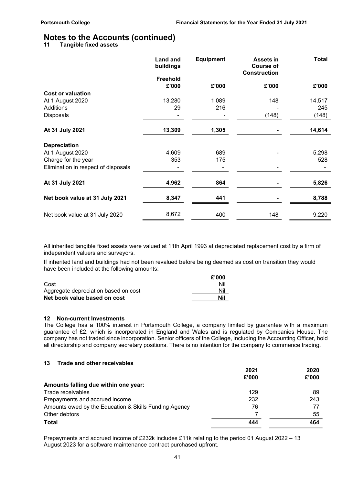11 Tangible fixed assets

|                                     | <b>Land and</b><br>buildings | <b>Equipment</b> | <b>Assets in</b><br><b>Course of</b><br><b>Construction</b> | <b>Total</b> |
|-------------------------------------|------------------------------|------------------|-------------------------------------------------------------|--------------|
|                                     | Freehold                     |                  |                                                             |              |
|                                     | £'000                        | £'000            | £'000                                                       | £'000        |
| <b>Cost or valuation</b>            |                              |                  |                                                             |              |
| At 1 August 2020                    | 13,280                       | 1,089            | 148                                                         | 14,517       |
| Additions                           | 29                           | 216              |                                                             | 245          |
| <b>Disposals</b>                    |                              |                  | (148)                                                       | (148)        |
| At 31 July 2021                     | 13,309                       | 1,305            |                                                             | 14,614       |
| <b>Depreciation</b>                 |                              |                  |                                                             |              |
| At 1 August 2020                    | 4,609                        | 689              |                                                             | 5,298        |
| Charge for the year                 | 353                          | 175              |                                                             | 528          |
| Elimination in respect of disposals |                              |                  |                                                             |              |
| At 31 July 2021                     | 4,962                        | 864              |                                                             | 5,826        |
| Net book value at 31 July 2021      | 8,347                        | 441              |                                                             | 8,788        |
| Net book value at 31 July 2020      | 8,672                        | 400              | 148                                                         | 9,220        |

All inherited tangible fixed assets were valued at 11th April 1993 at depreciated replacement cost by a firm of independent valuers and surveyors.

If inherited land and buildings had not been revalued before being deemed as cost on transition they would have been included at the following amounts:

|                                      | £'000 |
|--------------------------------------|-------|
| Cost                                 | Nil   |
| Aggregate depreciation based on cost | Nil   |
| Net book value based on cost         | Nil   |

#### 12 Non-current Investments

The College has a 100% interest in Portsmouth College, a company limited by guarantee with a maximum guarantee of £2, which is incorporated in England and Wales and is regulated by Companies House. The company has not traded since incorporation. Senior officers of the College, including the Accounting Officer, hold all directorship and company secretary positions. There is no intention for the company to commence trading.

#### 13 Trade and other receivables

|                                                       | 2021  | 2020  |
|-------------------------------------------------------|-------|-------|
|                                                       | £'000 | £'000 |
| Amounts falling due within one year:                  |       |       |
| Trade receivables                                     | 129   | 89    |
| Prepayments and accrued income                        | 232   | 243   |
| Amounts owed by the Education & Skills Funding Agency | 76    | 77    |
| Other debtors                                         |       | 55    |
| Total                                                 | 444   | 464   |
|                                                       |       |       |

Prepayments and accrued income of £232k includes £11k relating to the period 01 August 2022 – 13 August 2023 for a software maintenance contract purchased upfront.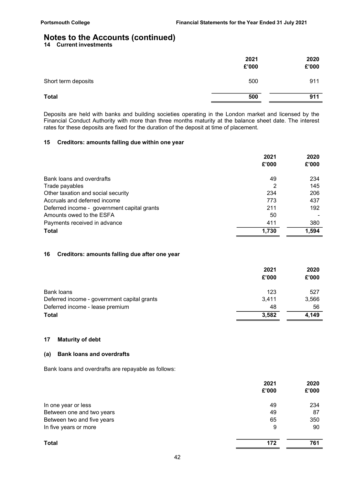14 Current investments

|                     | 2021<br>£'000 | 2020<br>£'000 |
|---------------------|---------------|---------------|
| Short term deposits | 500           | 911           |
| <b>Total</b>        | 500           | 911           |

Deposits are held with banks and building societies operating in the London market and licensed by the Financial Conduct Authority with more than three months maturity at the balance sheet date. The interest rates for these deposits are fixed for the duration of the deposit at time of placement.

#### 15 Creditors: amounts falling due within one year

|                                             | 2021  | 2020  |
|---------------------------------------------|-------|-------|
|                                             | £'000 | £'000 |
| Bank loans and overdrafts                   | 49    | 234   |
| Trade payables                              |       | 145   |
| Other taxation and social security          | 234   | 206   |
| Accruals and deferred income                | 773   | 437   |
| Deferred income - government capital grants | 211   | 192   |
| Amounts owed to the ESFA                    | 50    |       |
| Payments received in advance                | 411   | 380   |
| <b>Total</b>                                | 1,730 | 1,594 |
|                                             |       |       |

#### 16 Creditors: amounts falling due after one year

|                                             | 2021  | 2020  |
|---------------------------------------------|-------|-------|
|                                             | £'000 | £'000 |
| Bank loans                                  | 123   | 527   |
| Deferred income - government capital grants | 3.411 | 3,566 |
| Deferred income - lease premium             | 48    | 56    |
| <b>Total</b>                                | 3,582 | 4,149 |

#### 17 Maturity of debt

#### (a) Bank loans and overdrafts

Bank loans and overdrafts are repayable as follows:

|                            | 2021  | 2020  |
|----------------------------|-------|-------|
|                            | £'000 | £'000 |
| In one year or less        | 49    | 234   |
| Between one and two years  | 49    | 87    |
| Between two and five years | 65    | 350   |
| In five years or more      | 9     | 90    |
| <b>Total</b>               | 172   | 761   |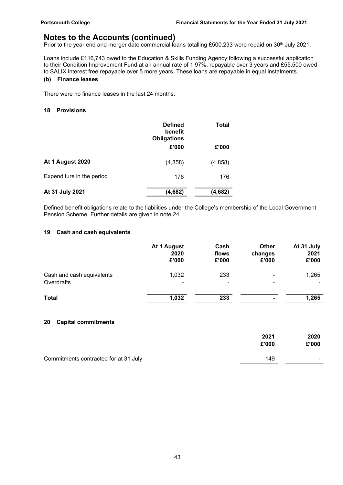Prior to the year end and merger date commercial loans totalling £500,233 were repaid on 30<sup>th</sup> July 2021.

Loans include £116,743 owed to the Education & Skills Funding Agency following a successful application to their Condition Improvement Fund at an annual rate of 1.97%, repayable over 3 years and £55,500 owed to SALIX interest free repayable over 5 more years. These loans are repayable in equal instalments.

### (b) Finance leases

There were no finance leases in the last 24 months.

#### 18 Provisions

|                           | <b>Defined</b><br>benefit<br><b>Obligations</b> | Total   |
|---------------------------|-------------------------------------------------|---------|
|                           | £'000                                           | £'000   |
| At 1 August 2020          | (4, 858)                                        | (4,858) |
| Expenditure in the period | 176                                             | 176     |
| At 31 July 2021           | (4,682)                                         | (4,682) |

Defined benefit obligations relate to the liabilities under the College's membership of the Local Government Pension Scheme. Further details are given in note 24.

#### 19 Cash and cash equivalents

|                           | At 1 August<br>2020<br>£'000 | Cash<br>flows<br>£'000 | <b>Other</b><br>changes<br>£'000 | At 31 July<br>2021<br>£'000 |
|---------------------------|------------------------------|------------------------|----------------------------------|-----------------------------|
| Cash and cash equivalents | 1,032                        | 233                    | $\overline{\phantom{0}}$         | 1,265                       |
| Overdrafts                | $\overline{\phantom{a}}$     | ۰                      | ۰                                | ۰                           |
| <b>Total</b>              | 1,032                        | 233                    |                                  | 1,265                       |

#### 20 Capital commitments

|                                       | 2021<br>£'000 | 2020<br>£'000            |
|---------------------------------------|---------------|--------------------------|
| Commitments contracted for at 31 July | 149           | $\overline{\phantom{a}}$ |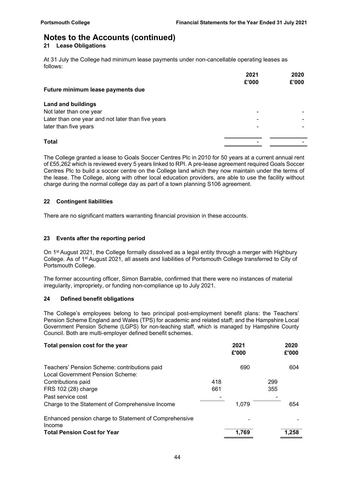#### 21 Lease Obligations

At 31 July the College had minimum lease payments under non-cancellable operating leases as follows:

|                                                   | 2021  | 2020  |
|---------------------------------------------------|-------|-------|
|                                                   | £'000 | £'000 |
| Future minimum lease payments due                 |       |       |
| <b>Land and buildings</b>                         |       |       |
| Not later than one year                           |       |       |
| Later than one year and not later than five years |       |       |
| later than five years                             |       |       |
| <b>Total</b>                                      |       |       |
|                                                   |       |       |

The College granted a lease to Goals Soccer Centres Plc in 2010 for 50 years at a current annual rent of £55,262 which is reviewed every 5 years linked to RPI. A pre-lease agreement required Goals Soccer Centres Plc to build a soccer centre on the College land which they now maintain under the terms of the lease. The College, along with other local education providers, are able to use the facility without charge during the normal college day as part of a town planning S106 agreement.

#### 22 Contingent liabilities

There are no significant matters warranting financial provision in these accounts.

#### 23 Events after the reporting period

On 1st August 2021, the College formally dissolved as a legal entity through a merger with Highbury College. As of 1st August 2021, all assets and liabilities of Portsmouth College transferred to City of Portsmouth College.

The former accounting officer, Simon Barrable, confirmed that there were no instances of material irregularity, impropriety, or funding non-compliance up to July 2021.

#### 24 Defined benefit obligations

The College's employees belong to two principal post-employment benefit plans: the Teachers' Pension Scheme England and Wales (TPS) for academic and related staff; and the Hampshire Local Government Pension Scheme (LGPS) for non-teaching staff, which is managed by Hampshire County Council. Both are multi-employer defined benefit schemes.

| Total pension cost for the year                                 |     | 2021<br>£'000 |     | 2020<br>£'000 |  |
|-----------------------------------------------------------------|-----|---------------|-----|---------------|--|
| Teachers' Pension Scheme: contributions paid                    |     | 690           |     | 604           |  |
| Local Government Pension Scheme:                                |     |               |     |               |  |
| Contributions paid                                              | 418 |               | 299 |               |  |
| FRS 102 (28) charge                                             | 661 |               | 355 |               |  |
| Past service cost                                               |     |               |     |               |  |
| Charge to the Statement of Comprehensive Income                 |     | 1,079         |     | 654           |  |
| Enhanced pension charge to Statement of Comprehensive<br>Income |     |               |     |               |  |
| <b>Total Pension Cost for Year</b>                              |     | 1.769         |     | 1.258         |  |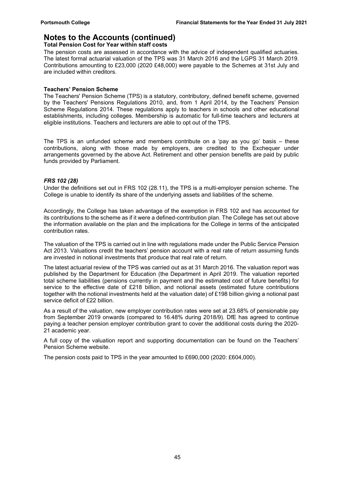#### Total Pension Cost for Year within staff costs

The pension costs are assessed in accordance with the advice of independent qualified actuaries. The latest formal actuarial valuation of the TPS was 31 March 2016 and the LGPS 31 March 2019. Contributions amounting to £23,000 (2020 £48,000) were payable to the Schemes at 31st July and are included within creditors.

#### Teachers' Pension Scheme

The Teachers' Pension Scheme (TPS) is a statutory, contributory, defined benefit scheme, governed by the Teachers' Pensions Regulations 2010, and, from 1 April 2014, by the Teachers' Pension Scheme Regulations 2014. These regulations apply to teachers in schools and other educational establishments, including colleges. Membership is automatic for full-time teachers and lecturers at eligible institutions. Teachers and lecturers are able to opt out of the TPS.

The TPS is an unfunded scheme and members contribute on a 'pay as you go' basis – these contributions, along with those made by employers, are credited to the Exchequer under arrangements governed by the above Act. Retirement and other pension benefits are paid by public funds provided by Parliament.

#### FRS 102 (28)

Under the definitions set out in FRS 102 (28.11), the TPS is a multi-employer pension scheme. The College is unable to identify its share of the underlying assets and liabilities of the scheme.

Accordingly, the College has taken advantage of the exemption in FRS 102 and has accounted for its contributions to the scheme as if it were a defined-contribution plan. The College has set out above the information available on the plan and the implications for the College in terms of the anticipated contribution rates.

The valuation of the TPS is carried out in line with regulations made under the Public Service Pension Act 2013. Valuations credit the teachers' pension account with a real rate of return assuming funds are invested in notional investments that produce that real rate of return.

The latest actuarial review of the TPS was carried out as at 31 March 2016. The valuation report was published by the Department for Education (the Department in April 2019. The valuation reported total scheme liabilities (pensions currently in payment and the estimated cost of future benefits) for service to the effective date of £218 billion, and notional assets (estimated future contributions together with the notional investments held at the valuation date) of £198 billion giving a notional past service deficit of £22 billion.

As a result of the valuation, new employer contribution rates were set at 23.68% of pensionable pay from September 2019 onwards (compared to 16.48% during 2018/9). DfE has agreed to continue paying a teacher pension employer contribution grant to cover the additional costs during the 2020- 21 academic year.

A full copy of the valuation report and supporting documentation can be found on the Teachers' Pension Scheme website.

The pension costs paid to TPS in the year amounted to £690,000 (2020: £604,000).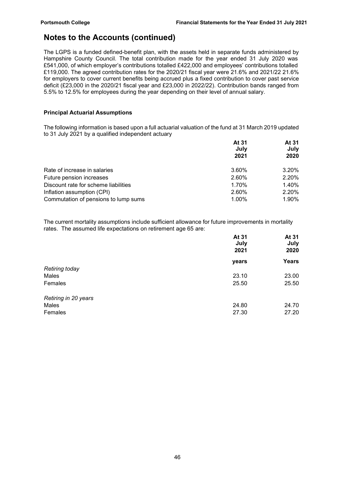The LGPS is a funded defined-benefit plan, with the assets held in separate funds administered by Hampshire County Council. The total contribution made for the year ended 31 July 2020 was £541,000, of which employer's contributions totalled £422,000 and employees' contributions totalled £119,000. The agreed contribution rates for the 2020/21 fiscal year were 21.6% and 2021/22 21.6% for employers to cover current benefits being accrued plus a fixed contribution to cover past service deficit (£23,000 in the 2020/21 fiscal year and £23,000 in 2022/22). Contribution bands ranged from 5.5% to 12.5% for employees during the year depending on their level of annual salary.

### Principal Actuarial Assumptions

The following information is based upon a full actuarial valuation of the fund at 31 March 2019 updated to 31 July 2021 by a qualified independent actuary

|                                      | At 31<br>July | At 31<br>July |
|--------------------------------------|---------------|---------------|
|                                      | 2021          | 2020          |
| Rate of increase in salaries         | 3.60%         | 3.20%         |
| Future pension increases             | 2.60%         | 2.20%         |
| Discount rate for scheme liabilities | 1.70%         | 1.40%         |
| Inflation assumption (CPI)           | 2.60%         | 2.20%         |
| Commutation of pensions to lump sums | 1.00%         | 1.90%         |

The current mortality assumptions include sufficient allowance for future improvements in mortality rates. The assumed life expectations on retirement age 65 are:

|                       | At 31<br>July<br>2021 | At 31<br>July<br>2020 |
|-----------------------|-----------------------|-----------------------|
|                       | years                 | Years                 |
| <b>Retiring today</b> |                       |                       |
| Males                 | 23.10                 | 23.00                 |
| Females               | 25.50                 | 25.50                 |
| Retiring in 20 years  |                       |                       |
| Males                 | 24.80                 | 24.70                 |
| Females               | 27.30                 | 27.20                 |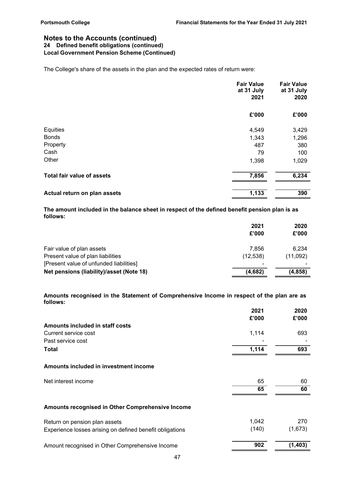#### Notes to the Accounts (continued) 24 Defined benefit obligations (continued) Local Government Pension Scheme (Continued)

The College's share of the assets in the plan and the expected rates of return were:

|                                   | <b>Fair Value</b><br>at 31 July<br>2021 | <b>Fair Value</b><br>at 31 July<br>2020 |
|-----------------------------------|-----------------------------------------|-----------------------------------------|
|                                   | £'000                                   | £'000                                   |
| Equities                          | 4,549                                   | 3,429                                   |
| <b>Bonds</b>                      | 1,343                                   | 1,296                                   |
| Property                          | 487                                     | 380                                     |
| Cash                              | 79                                      | 100                                     |
| Other                             | 1,398                                   | 1,029                                   |
| <b>Total fair value of assets</b> | 7,856                                   | 6,234                                   |
| Actual return on plan assets      | 1,133                                   | 390                                     |

The amount included in the balance sheet in respect of the defined benefit pension plan is as follows:

|                                          | 2021      | 2020     |  |
|------------------------------------------|-----------|----------|--|
|                                          | £'000     | £'000    |  |
| Fair value of plan assets                | 7.856     | 6.234    |  |
| Present value of plan liabilities        | (12, 538) | (11,092) |  |
| [Present value of unfunded liabilities]  |           | -        |  |
| Net pensions (liability)/asset (Note 18) | (4,682)   | (4, 858) |  |
|                                          |           |          |  |

Amounts recognised in the Statement of Comprehensive Income in respect of the plan are as follows:

|                                                          | 2021  | 2020     |
|----------------------------------------------------------|-------|----------|
|                                                          | £'000 | £'000    |
| Amounts included in staff costs                          |       |          |
| Current service cost                                     | 1,114 | 693      |
| Past service cost                                        |       |          |
| <b>Total</b>                                             | 1,114 | 693      |
| Amounts included in investment income                    |       |          |
| Net interest income                                      | 65    | 60       |
|                                                          | 65    | 60       |
| Amounts recognised in Other Comprehensive Income         |       |          |
| Return on pension plan assets                            | 1,042 | 270      |
| Experience losses arising on defined benefit obligations | (140) | (1,673)  |
| Amount recognised in Other Comprehensive Income          | 902   | (1, 403) |
|                                                          |       |          |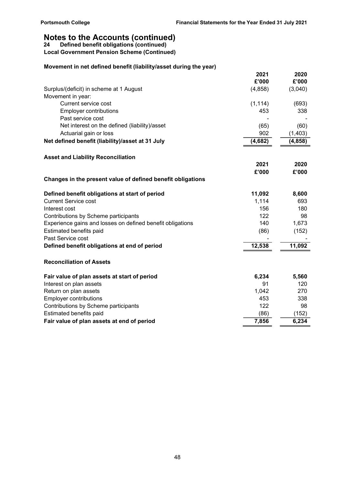24 Defined benefit obligations (continued)

Local Government Pension Scheme (Continued)

### Movement in net defined benefit (liability/asset during the year)

|                                                             | 2021     | 2020     |
|-------------------------------------------------------------|----------|----------|
|                                                             | £'000    | £'000    |
| Surplus/(deficit) in scheme at 1 August                     | (4, 858) | (3,040)  |
| Movement in year:                                           |          |          |
| Current service cost                                        | (1, 114) | (693)    |
| <b>Employer contributions</b>                               | 453      | 338      |
| Past service cost                                           |          |          |
| Net interest on the defined (liability)/asset               | (65)     | (60)     |
| Actuarial gain or loss                                      | 902      | (1, 403) |
| Net defined benefit (liability)/asset at 31 July            | (4,682)  | (4, 858) |
| <b>Asset and Liability Reconciliation</b>                   |          |          |
|                                                             | 2021     | 2020     |
|                                                             | £'000    | £'000    |
| Changes in the present value of defined benefit obligations |          |          |
| Defined benefit obligations at start of period              | 11,092   | 8,600    |
| <b>Current Service cost</b>                                 | 1,114    | 693      |
| Interest cost                                               | 156      | 180      |
| Contributions by Scheme participants                        | 122      | 98       |
| Experience gains and losses on defined benefit obligations  | 140      | 1,673    |
| Estimated benefits paid                                     | (86)     | (152)    |
| Past Service cost                                           |          |          |
| Defined benefit obligations at end of period                | 12,538   | 11,092   |
| <b>Reconciliation of Assets</b>                             |          |          |
| Fair value of plan assets at start of period                | 6,234    | 5,560    |
| Interest on plan assets                                     | 91       | 120      |
| Return on plan assets                                       | 1,042    | 270      |
| <b>Employer contributions</b>                               | 453      | 338      |
| Contributions by Scheme participants                        | 122      | 98       |
| Estimated benefits paid                                     | (86)     | (152)    |
| Fair value of plan assets at end of period                  | 7,856    | 6,234    |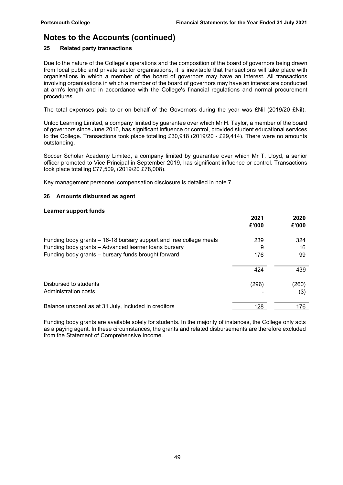### 25 Related party transactions

Due to the nature of the College's operations and the composition of the board of governors being drawn from local public and private sector organisations, it is inevitable that transactions will take place with organisations in which a member of the board of governors may have an interest. All transactions involving organisations in which a member of the board of governors may have an interest are conducted at arm's length and in accordance with the College's financial regulations and normal procurement procedures.

The total expenses paid to or on behalf of the Governors during the year was £Nil (2019/20 £Nil).

Unloc Learning Limited, a company limited by guarantee over which Mr H. Taylor, a member of the board of governors since June 2016, has significant influence or control, provided student educational services to the College. Transactions took place totalling £30,918 (2019/20 - £29,414). There were no amounts outstanding.

Soccer Scholar Academy Limited, a company limited by guarantee over which Mr T. Lloyd, a senior officer promoted to Vice Principal in September 2019, has significant influence or control. Transactions took place totalling £77,509, (2019/20 £78,008).

Key management personnel compensation disclosure is detailed in note 7.

#### 26 Amounts disbursed as agent

#### Learner support funds

|                                                                    | 2021<br>£'000 | 2020<br>£'000 |
|--------------------------------------------------------------------|---------------|---------------|
| Funding body grants – 16-18 bursary support and free college meals | 239           | 324           |
| Funding body grants - Advanced learner loans bursary               | 9             | 16            |
| Funding body grants - bursary funds brought forward                | 176           | 99            |
|                                                                    | 424           | 439           |
| Disbursed to students                                              | (296)         | (260)         |
| Administration costs                                               |               | (3)           |
| Balance unspent as at 31 July, included in creditors               | 128           | 176           |

Funding body grants are available solely for students. In the majority of instances, the College only acts as a paying agent. In these circumstances, the grants and related disbursements are therefore excluded from the Statement of Comprehensive Income.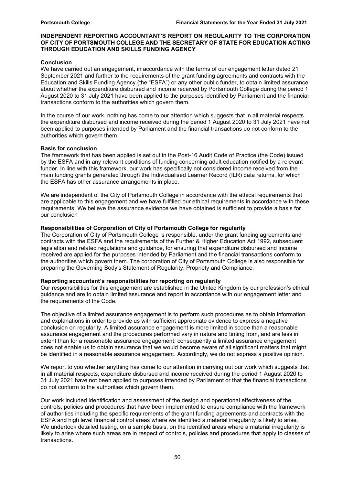#### INDEPENDENT REPORTING ACCOUNTANT'S REPORT ON REGULARITY TO THE CORPORATION OF CITY OF PORTSMOUTH COLLEGE AND THE SECRETARY OF STATE FOR EDUCATION ACTING THROUGH EDUCATION AND SKILLS FUNDING AGENCY

#### Conclusion

We have carried out an engagement, in accordance with the terms of our engagement letter dated 21 September 2021 and further to the requirements of the grant funding agreements and contracts with the Education and Skills Funding Agency (the "ESFA") or any other public funder, to obtain limited assurance about whether the expenditure disbursed and income received by Portsmouth College during the period 1 August 2020 to 31 July 2021 have been applied to the purposes identified by Parliament and the financial transactions conform to the authorities which govern them.

In the course of our work, nothing has come to our attention which suggests that in all material respects the expenditure disbursed and income received during the period 1 August 2020 to 31 July 2021 have not been applied to purposes intended by Parliament and the financial transactions do not conform to the authorities which govern them.

#### Basis for conclusion

The framework that has been applied is set out in the Post-16 Audit Code of Practice (the Code) issued by the ESFA and in any relevant conditions of funding concerning adult education notified by a relevant funder. In line with this framework, our work has specifically not considered income received from the main funding grants generated through the Individualised Learner Record (ILR) data returns, for which the ESFA has other assurance arrangements in place.

We are independent of the City of Portsmouth College in accordance with the ethical requirements that are applicable to this engagement and we have fulfilled our ethical requirements in accordance with these requirements. We believe the assurance evidence we have obtained is sufficient to provide a basis for our conclusion

#### Responsibilities of Corporation of City of Portsmouth College for regularity

The Corporation of City of Portsmouth College is responsible, under the grant funding agreements and contracts with the ESFA and the requirements of the Further & Higher Education Act 1992, subsequent legislation and related regulations and guidance, for ensuring that expenditure disbursed and income received are applied for the purposes intended by Parliament and the financial transactions conform to the authorities which govern them. The corporation of City of Portsmouth College is also responsible for preparing the Governing Body's Statement of Regularity, Propriety and Compliance.

#### Reporting accountant's responsibilities for reporting on regularity

Our responsibilities for this engagement are established in the United Kingdom by our profession's ethical guidance and are to obtain limited assurance and report in accordance with our engagement letter and the requirements of the Code.

The objective of a limited assurance engagement is to perform such procedures as to obtain information and explanations in order to provide us with sufficient appropriate evidence to express a negative conclusion on regularity. A limited assurance engagement is more limited in scope than a reasonable assurance engagement and the procedures performed vary in nature and timing from, and are less in extent than for a reasonable assurance engagement; consequently a limited assurance engagement does not enable us to obtain assurance that we would become aware of all significant matters that might be identified in a reasonable assurance engagement. Accordingly, we do not express a positive opinion.

We report to you whether anything has come to our attention in carrying out our work which suggests that in all material respects, expenditure disbursed and income received during the period 1 August 2020 to 31 July 2021 have not been applied to purposes intended by Parliament or that the financial transactions do not conform to the authorities which govern them.

Our work included identification and assessment of the design and operational effectiveness of the controls, policies and procedures that have been implemented to ensure compliance with the framework of authorities including the specific requirements of the grant funding agreements and contracts with the ESFA and high level financial control areas where we identified a material irregularity is likely to arise. We undertook detailed testing, on a sample basis, on the identified areas where a material irregularity is likely to arise where such areas are in respect of controls, policies and procedures that apply to classes of transactions.